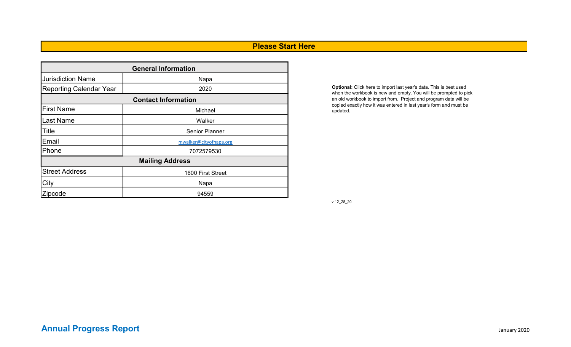# Please Start Here

| <b>General Information</b> |                            |  |  |  |  |  |  |  |  |
|----------------------------|----------------------------|--|--|--|--|--|--|--|--|
| <b>Jurisdiction Name</b>   | Napa                       |  |  |  |  |  |  |  |  |
| Reporting Calendar Year    | 2020                       |  |  |  |  |  |  |  |  |
|                            | <b>Contact Information</b> |  |  |  |  |  |  |  |  |
| <b>I</b> First Name        | Michael                    |  |  |  |  |  |  |  |  |
| <b>I</b> Last Name         | Walker                     |  |  |  |  |  |  |  |  |
| Title                      | <b>Senior Planner</b>      |  |  |  |  |  |  |  |  |
| Email                      | mwalker@cityofnapa.org     |  |  |  |  |  |  |  |  |
| Phone                      | 7072579530                 |  |  |  |  |  |  |  |  |
|                            | <b>Mailing Address</b>     |  |  |  |  |  |  |  |  |
| <b>Street Address</b>      | 1600 First Street          |  |  |  |  |  |  |  |  |
| City                       | Napa                       |  |  |  |  |  |  |  |  |
| Zipcode                    | 94559                      |  |  |  |  |  |  |  |  |

Optional: Click here to import last year's data. This is best used when the workbook is new and empty. You will be prompted to pick an old workbook to import from. Project and program data will be copied exactly how it was entered in last year's form and must be updated.

v 12\_28\_20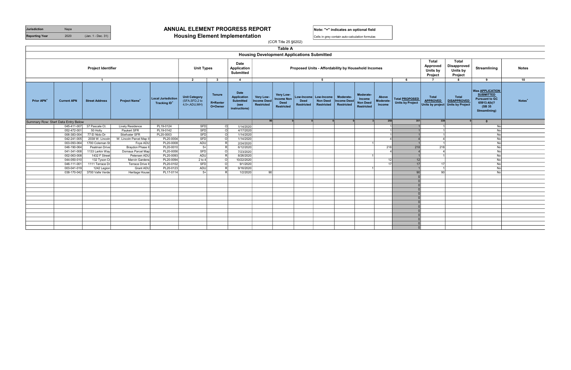|                                                        |                    |                       |                                 |                                                      |                                                              |                                             |                                                                         | <b>LANIC H</b>                                                                                               |                           |                                                          |                                               |                                                             |                              |                                                  |                                                           |                                                                                         |                                                                                                                |                    |
|--------------------------------------------------------|--------------------|-----------------------|---------------------------------|------------------------------------------------------|--------------------------------------------------------------|---------------------------------------------|-------------------------------------------------------------------------|--------------------------------------------------------------------------------------------------------------|---------------------------|----------------------------------------------------------|-----------------------------------------------|-------------------------------------------------------------|------------------------------|--------------------------------------------------|-----------------------------------------------------------|-----------------------------------------------------------------------------------------|----------------------------------------------------------------------------------------------------------------|--------------------|
|                                                        |                    |                       |                                 |                                                      |                                                              |                                             |                                                                         | <b>Housing Development Applications Submitted</b>                                                            |                           |                                                          |                                               |                                                             |                              |                                                  |                                                           |                                                                                         |                                                                                                                |                    |
| Date<br><b>Project Identifier</b><br><b>Unit Types</b> |                    |                       |                                 |                                                      |                                                              | Application<br><b>Submitted</b>             | Proposed Units - Affordability by Household Incomes                     |                                                                                                              |                           |                                                          |                                               |                                                             |                              | Total<br>Approved<br>Units by<br>Project         | <b>Total</b><br><b>Disapproved</b><br>Units by<br>Project | Streamlining                                                                            | <b>Notes</b>                                                                                                   |                    |
|                                                        |                    | $\overline{1}$        |                                 |                                                      | $\overline{2}$                                               | $\mathbf{3}$                                | $\overline{\mathbf{4}}$                                                 |                                                                                                              |                           | 5                                                        |                                               |                                                             |                              | 6                                                | $\overline{7}$                                            | 8                                                                                       | 9                                                                                                              | 10                 |
| <b>Prior APN</b>                                       | <b>Current APN</b> | <b>Street Address</b> | <b>Project Name<sup>+</sup></b> | Local Jurisdiction<br><b>Tracking ID<sup>+</sup></b> | <b>Unit Category</b><br>(SFA, SFD, 2 to<br>$4,5+$ , ADU, MH) | <b>Tenure</b><br><b>R=Renter</b><br>O=Owner | Date<br><b>Application</b><br><b>Submitted</b><br>(see<br>instructions) | Very Low-<br>Very Low-<br><b>Income Non</b><br><b>Income Deed</b><br><b>Deed</b><br>Restricted<br>Restricted | <b>Deed</b><br>Restricted | Low-Income   Low-Income<br><b>Non Deed</b><br>Restricted | Moderate-<br><b>Income Deed</b><br>Restricted | Moderate-<br>Income<br><b>Non Deed</b><br><b>Restricted</b> | Above<br>Moderate-<br>Income | Total <b>PROPOSED</b><br><b>Units by Project</b> | Total<br><b>APPROVED</b>                                  | <b>Total</b><br><b>DISAPPROVED</b><br>$\vert$ Units by project $\vert$ Units by Project | Was <b>APPLICATION</b><br><b>SUBMITTED</b><br><b>Pursuant to GC</b><br>65913.4(b)?<br>(SB 35)<br>Streamlining) | Notes <sup>+</sup> |
| Summary Row: Start Data Entry Below                    |                    |                       |                                 |                                                      |                                                              |                                             |                                                                         |                                                                                                              |                           |                                                          |                                               |                                                             | 258                          | 351                                              | 339                                                       |                                                                                         | $\mathbf{0}$                                                                                                   |                    |
|                                                        | 045-411-007        | 37 Pascale Ct.        | <b>Lively Residence</b>         | PL19-0124                                            | <b>SFD</b>                                                   | $\Omega$                                    | 1/14/2020                                                               |                                                                                                              |                           |                                                          |                                               |                                                             |                              |                                                  |                                                           |                                                                                         | No                                                                                                             |                    |
|                                                        | 052-472-001        | 50 Holly              | Paukert SFR                     | PL19-0142                                            | <b>SFD</b>                                                   | $\circ$                                     | 4/17/2020                                                               |                                                                                                              |                           |                                                          |                                               |                                                             |                              |                                                  |                                                           |                                                                                         | No                                                                                                             |                    |
|                                                        | 006-383-004        | 77 El Nido Dr         | Stiefvater SFR                  | PL20-0003                                            | <b>SFD</b>                                                   | $\cap$                                      | 1/14/2020                                                               |                                                                                                              |                           |                                                          |                                               |                                                             |                              |                                                  |                                                           |                                                                                         | No                                                                                                             |                    |
|                                                        | 042-241-005        | 2038 W. Lincoln       | W. Lincoln Parcel Map II        | PL20-0004                                            | <b>SFD</b>                                                   | - C                                         | 1/14/2020                                                               |                                                                                                              |                           |                                                          |                                               |                                                             |                              |                                                  | Δ                                                         |                                                                                         | No                                                                                                             |                    |
|                                                        | 003-093-064        | 1700 Coleman St       | Foye ADU                        | PL20-0008                                            | ADU                                                          |                                             | 2/24/2020                                                               |                                                                                                              |                           |                                                          |                                               |                                                             |                              |                                                  |                                                           |                                                                                         | No                                                                                                             |                    |
|                                                        | 046-190-064        | <b>Peatman Drive</b>  | Braydon Phase II                | PL20-0010                                            | $5+$                                                         |                                             | 6/12/2020                                                               |                                                                                                              |                           |                                                          |                                               |                                                             | 218                          | 218                                              | 218                                                       |                                                                                         | No                                                                                                             |                    |
|                                                        | 041-341-008        | 1133 Larkin Way       | Dornaus Parcel Map              | PL20-0056                                            | SFD                                                          | $\Omega$                                    | 7/23/2020                                                               |                                                                                                              |                           |                                                          |                                               |                                                             |                              |                                                  |                                                           |                                                                                         | No                                                                                                             |                    |
|                                                        | 002-063-008        | 1432 F Street         | Petersen ADU                    | PL20-0093                                            | ADU                                                          |                                             | 8/26/2020                                                               |                                                                                                              |                           |                                                          |                                               |                                                             |                              |                                                  |                                                           |                                                                                         | No                                                                                                             |                    |
|                                                        | 044-050-010        | 132 Tyson Ct          | <b>Marvin Gardens</b>           | PL20-0094                                            | $2$ to 4                                                     | $\epsilon$                                  | 10/22/2020                                                              |                                                                                                              |                           |                                                          |                                               |                                                             | 12                           | 12                                               |                                                           |                                                                                         | No                                                                                                             |                    |
|                                                        | 046-111-001        | 1111 Terrace Dr       | <b>Terrace Drive II</b>         | PL20-0102                                            | <b>SFD</b>                                                   | $\Omega$                                    | 9/1/2020                                                                |                                                                                                              |                           |                                                          |                                               |                                                             | 17 <sup>1</sup>              | 17                                               | 17                                                        |                                                                                         | No                                                                                                             |                    |
|                                                        | 003-041-019        | 1242 Legion           | <b>Grant ADU</b>                | PL20-0123                                            | ADU                                                          |                                             | 9/16/2020                                                               |                                                                                                              |                           |                                                          |                                               |                                                             |                              |                                                  |                                                           |                                                                                         | No                                                                                                             |                    |
|                                                        | 038-170-042        | 3700 Valle Verde      | Heritage House                  | PL17-0114                                            | $5+$                                                         |                                             | 1/2/2020                                                                | 90                                                                                                           |                           |                                                          |                                               |                                                             |                              | 90 <sub>1</sub>                                  | 90                                                        |                                                                                         | No                                                                                                             |                    |
|                                                        |                    |                       |                                 |                                                      |                                                              |                                             |                                                                         |                                                                                                              |                           |                                                          |                                               |                                                             |                              |                                                  |                                                           |                                                                                         |                                                                                                                |                    |
|                                                        |                    |                       |                                 |                                                      |                                                              |                                             |                                                                         |                                                                                                              |                           |                                                          |                                               |                                                             |                              |                                                  |                                                           |                                                                                         |                                                                                                                |                    |
|                                                        |                    |                       |                                 |                                                      |                                                              |                                             |                                                                         |                                                                                                              |                           |                                                          |                                               |                                                             |                              |                                                  |                                                           |                                                                                         |                                                                                                                |                    |
|                                                        |                    |                       |                                 |                                                      |                                                              |                                             |                                                                         |                                                                                                              |                           |                                                          |                                               |                                                             |                              |                                                  |                                                           |                                                                                         |                                                                                                                |                    |
|                                                        |                    |                       |                                 |                                                      |                                                              |                                             |                                                                         |                                                                                                              |                           |                                                          |                                               |                                                             |                              |                                                  |                                                           |                                                                                         |                                                                                                                |                    |
|                                                        |                    |                       |                                 |                                                      |                                                              |                                             |                                                                         |                                                                                                              |                           |                                                          |                                               |                                                             |                              |                                                  |                                                           |                                                                                         |                                                                                                                |                    |
|                                                        |                    |                       |                                 |                                                      |                                                              |                                             |                                                                         |                                                                                                              |                           |                                                          |                                               |                                                             |                              |                                                  |                                                           |                                                                                         |                                                                                                                |                    |
|                                                        |                    |                       |                                 |                                                      |                                                              |                                             |                                                                         |                                                                                                              |                           |                                                          |                                               |                                                             |                              |                                                  |                                                           |                                                                                         |                                                                                                                |                    |
|                                                        |                    |                       |                                 |                                                      |                                                              |                                             |                                                                         |                                                                                                              |                           |                                                          |                                               |                                                             |                              |                                                  |                                                           |                                                                                         |                                                                                                                |                    |
|                                                        |                    |                       |                                 |                                                      |                                                              |                                             |                                                                         |                                                                                                              |                           |                                                          |                                               |                                                             |                              |                                                  |                                                           |                                                                                         |                                                                                                                |                    |
|                                                        |                    |                       |                                 |                                                      |                                                              |                                             |                                                                         |                                                                                                              |                           |                                                          |                                               |                                                             |                              |                                                  |                                                           |                                                                                         |                                                                                                                |                    |
|                                                        |                    |                       |                                 |                                                      |                                                              |                                             |                                                                         |                                                                                                              |                           |                                                          |                                               |                                                             |                              |                                                  |                                                           |                                                                                         |                                                                                                                |                    |
|                                                        |                    |                       |                                 |                                                      |                                                              |                                             |                                                                         |                                                                                                              |                           |                                                          |                                               |                                                             |                              |                                                  |                                                           |                                                                                         |                                                                                                                |                    |

Reporting Year 2020 (Jan. 1 - Dec. 31) **Housing Element Implementation** 

Jurisdiction Napa Napa **ANNUAL ELEMENT PROGRESS REPORT** Note: "+" indicates an optional field

Cells in grey contain auto-calculation formulas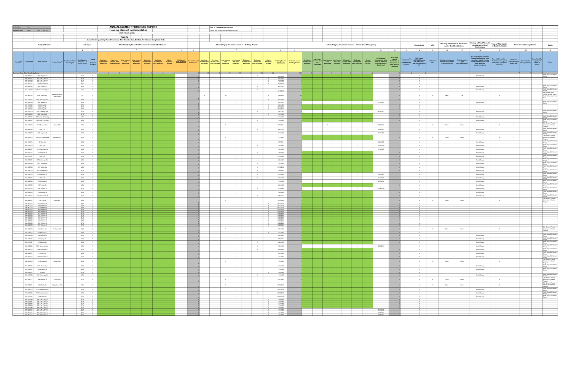| Jurisdiction | Napa                                                                                                     |                                                       |                  |                                                                                                                                                                                                                                                                                                 | <b>ANNUAL ELEMENT PROGRESS REPORT</b>                                                                                                                                                                   |                                                            |                           |                 | Note: "+" indicates an optional field                 |                                                                                                                                                                                                                                           |                                                                                                   |                |      |                   |                                                                                                                                                                                                                                               |                                                                                      |    |    |                                                                                                                                                                                                                                                                                                                                                                                                                                                                                               |                                                                                                  |                                          |                                                                                                                                |                     |                                                                                                                                                                                                                                                                                                                                                                                                                                                                                                                                  |                                                                  |
|--------------|----------------------------------------------------------------------------------------------------------|-------------------------------------------------------|------------------|-------------------------------------------------------------------------------------------------------------------------------------------------------------------------------------------------------------------------------------------------------------------------------------------------|---------------------------------------------------------------------------------------------------------------------------------------------------------------------------------------------------------|------------------------------------------------------------|---------------------------|-----------------|-------------------------------------------------------|-------------------------------------------------------------------------------------------------------------------------------------------------------------------------------------------------------------------------------------------|---------------------------------------------------------------------------------------------------|----------------|------|-------------------|-----------------------------------------------------------------------------------------------------------------------------------------------------------------------------------------------------------------------------------------------|--------------------------------------------------------------------------------------|----|----|-----------------------------------------------------------------------------------------------------------------------------------------------------------------------------------------------------------------------------------------------------------------------------------------------------------------------------------------------------------------------------------------------------------------------------------------------------------------------------------------------|--------------------------------------------------------------------------------------------------|------------------------------------------|--------------------------------------------------------------------------------------------------------------------------------|---------------------|----------------------------------------------------------------------------------------------------------------------------------------------------------------------------------------------------------------------------------------------------------------------------------------------------------------------------------------------------------------------------------------------------------------------------------------------------------------------------------------------------------------------------------|------------------------------------------------------------------|
|              | Reporting Year 2020 (Jan. 1 - Dec. 31)                                                                   |                                                       |                  |                                                                                                                                                                                                                                                                                                 | <b>Housing Element Implementation</b>                                                                                                                                                                   |                                                            |                           |                 | Cells in grey contain auto-calculation formulas       |                                                                                                                                                                                                                                           |                                                                                                   |                |      |                   |                                                                                                                                                                                                                                               |                                                                                      |    |    |                                                                                                                                                                                                                                                                                                                                                                                                                                                                                               |                                                                                                  |                                          |                                                                                                                                |                     |                                                                                                                                                                                                                                                                                                                                                                                                                                                                                                                                  |                                                                  |
|              |                                                                                                          |                                                       |                  |                                                                                                                                                                                                                                                                                                 | (CCR Title 25 §6202)                                                                                                                                                                                    |                                                            |                           |                 |                                                       |                                                                                                                                                                                                                                           |                                                                                                   |                |      |                   |                                                                                                                                                                                                                                               |                                                                                      |    |    |                                                                                                                                                                                                                                                                                                                                                                                                                                                                                               |                                                                                                  |                                          |                                                                                                                                |                     |                                                                                                                                                                                                                                                                                                                                                                                                                                                                                                                                  |                                                                  |
|              |                                                                                                          |                                                       |                  |                                                                                                                                                                                                                                                                                                 | Table A2<br>Annual Building Activity Report Summary - New Construction, Entitled, Permits and Completed Units                                                                                           |                                                            |                           |                 |                                                       |                                                                                                                                                                                                                                           |                                                                                                   |                |      |                   |                                                                                                                                                                                                                                               |                                                                                      |    |    |                                                                                                                                                                                                                                                                                                                                                                                                                                                                                               |                                                                                                  |                                          |                                                                                                                                |                     |                                                                                                                                                                                                                                                                                                                                                                                                                                                                                                                                  |                                                                  |
|              |                                                                                                          |                                                       |                  |                                                                                                                                                                                                                                                                                                 |                                                                                                                                                                                                         |                                                            |                           |                 |                                                       |                                                                                                                                                                                                                                           |                                                                                                   |                |      |                   |                                                                                                                                                                                                                                               |                                                                                      |    |    |                                                                                                                                                                                                                                                                                                                                                                                                                                                                                               |                                                                                                  | <b>Housing with Financial Assistance</b> | Housing without Financial Term of Affordability                                                                                |                     |                                                                                                                                                                                                                                                                                                                                                                                                                                                                                                                                  |                                                                  |
|              |                                                                                                          | <b>Project Identifier</b>                             |                  | <b>Unit Types</b>                                                                                                                                                                                                                                                                               |                                                                                                                                                                                                         | Affordability by Household Incomes - Completed Entitlement |                           |                 | Affordability by Household Incomes - Building Permits |                                                                                                                                                                                                                                           |                                                                                                   |                |      |                   | Affordability by Household Incomes - Certificates of Occupancy                                                                                                                                                                                |                                                                                      |    |    | Infill<br>Streamlining                                                                                                                                                                                                                                                                                                                                                                                                                                                                        |                                                                                                  | and/or Deed Restrictions                 | <b>Assistance or Deed</b><br><b>Restrictions</b>                                                                               | or Deed Restriction | <b>Demolished/Destroyed Units</b>                                                                                                                                                                                                                                                                                                                                                                                                                                                                                                | <b>Notes</b>                                                     |
|              |                                                                                                          |                                                       |                  | 2 3                                                                                                                                                                                                                                                                                             |                                                                                                                                                                                                         |                                                            | $5 - 5$<br>6 <sup>1</sup> |                 |                                                       |                                                                                                                                                                                                                                           | $\overline{\mathbf{8}}$                                                                           | $\overline{9}$ |      | 10                |                                                                                                                                                                                                                                               | 11                                                                                   | 12 | 13 | 14<br>15                                                                                                                                                                                                                                                                                                                                                                                                                                                                                      | 16                                                                                               |                                          | 17<br>18                                                                                                                       | 19                  | 20                                                                                                                                                                                                                                                                                                                                                                                                                                                                                                                               | 21                                                               |
|              |                                                                                                          |                                                       |                  |                                                                                                                                                                                                                                                                                                 |                                                                                                                                                                                                         |                                                            |                           |                 |                                                       |                                                                                                                                                                                                                                           |                                                                                                   |                |      |                   |                                                                                                                                                                                                                                               |                                                                                      |    |    |                                                                                                                                                                                                                                                                                                                                                                                                                                                                                               |                                                                                                  |                                          |                                                                                                                                |                     |                                                                                                                                                                                                                                                                                                                                                                                                                                                                                                                                  |                                                                  |
|              |                                                                                                          |                                                       |                  |                                                                                                                                                                                                                                                                                                 |                                                                                                                                                                                                         |                                                            |                           |                 |                                                       |                                                                                                                                                                                                                                           |                                                                                                   |                |      |                   |                                                                                                                                                                                                                                               | <b>Certificates of</b>                                                               |    |    |                                                                                                                                                                                                                                                                                                                                                                                                                                                                                               |                                                                                                  |                                          | For units affordable without<br>financial assistance or deed<br>restrictions, explain how the<br>locality determined the units |                     |                                                                                                                                                                                                                                                                                                                                                                                                                                                                                                                                  |                                                                  |
|              | Prior APN <sup>*</sup> Current APN                                                                       | <b>Street Address</b>                                 | Project Name*    | $\begin{tabular}{ c c } \hline \texttt{Local Jurisdiction} & \texttt{Unit category} & \texttt{Termive} \\ \hline \texttt{Tracking ID} & (\texttt{SFA}, \texttt{SPD,2 to} & \texttt{R=Renter} \\ \hline \texttt{Tracking ID} & \texttt{4.5+ADU, MH}) & \texttt{O=Owner} \\ \hline \end{tabular}$ | Very Low- Very Low- Income Low-Income Moderate- Moderate-<br>Income Deed Income Non Loed Won Deed Income Deed Income Nov<br>Restricted Deed Restricted Restricted Restricted Restricted Deed Restricted |                                                            |                           |                 |                                                       | Above Entitlement a Units Issued Very Low- Low-Income Low-Income Moderate- Moderate- Above<br>Moderate- <u>Date Approved</u> Entitlements Income Deed Income Non 2 bed Hoome Income Deed Income Redetate-<br>Income Income Entitlements R |                                                                                                   |                |      |                   | <b>Building Permits # of Units tssued Mery Lew Mechanics (Section Mechanics Mechanics Mechanics Above Mechanics Above<br/><u>Date Issued</u> Building Permits Incentional Reservoirs Deed Non-Text (Sectional Incomes New Incentional Inc</b> | Occupancy or other<br>forms of readiness<br>(see instructions)<br><u>Date Issued</u> |    |    | $\begin{tabular}{l c c c} \hline \texttt{of Units} & \texttt{How many of the} & \texttt{Was Project} \\ \hline \texttt{is: used} & \texttt{How many of the} & \texttt{APEROVED using} \\ \hline \texttt{Cectillicates of} & \texttt{units were} & \texttt{APEROVED using} \\ \texttt{Occupancy or} & \texttt{Ertremby Low} & \texttt{GS S Steamlining} \\ \texttt{other terms of} & \texttt{income2} & \texttt{Y/N} \\ \texttt{radses} & \texttt{Y/N} & \texttt{Y/N} \\ \hline \end{tabular}$ | Infill Units? Assistance Programs Deed Restriction<br>Y/N* (see instructions) (see instructions) |                                          |                                                                                                                                |                     | $\begin{tabular}{ l l } \hline \textbf{Term of Affordability or}\\ \textbf{D} \textbf{cos A restricted} & \textbf{Perm} \\ \hline (if affordability of the model)\\ \hline (if affordable in perpetuity) & \textbf{Demolished} \textbf{D} \textbf{ext} \\ \hline \textbf{conv of } (1001) & \textbf{ropted Units} \\ \hline \textbf{conv of } (0001) & \textbf{copt of } (001) \\ \hline \end{tabular} \begin{tabular}{ l l } \hline \textbf{Domol method} & \textbf{Domol method} \\ \hline \textbf{conv of } (1001) & \textbf$ | Notes <sup>*</sup>                                               |
|              |                                                                                                          |                                                       |                  |                                                                                                                                                                                                                                                                                                 |                                                                                                                                                                                                         |                                                            |                           |                 |                                                       |                                                                                                                                                                                                                                           |                                                                                                   |                |      |                   |                                                                                                                                                                                                                                               |                                                                                      |    |    |                                                                                                                                                                                                                                                                                                                                                                                                                                                                                               |                                                                                                  |                                          | were affordable<br>(see instructions)                                                                                          |                     |                                                                                                                                                                                                                                                                                                                                                                                                                                                                                                                                  |                                                                  |
|              |                                                                                                          |                                                       |                  |                                                                                                                                                                                                                                                                                                 |                                                                                                                                                                                                         |                                                            |                           |                 |                                                       |                                                                                                                                                                                                                                           |                                                                                                   |                |      |                   |                                                                                                                                                                                                                                               |                                                                                      |    |    |                                                                                                                                                                                                                                                                                                                                                                                                                                                                                               |                                                                                                  |                                          |                                                                                                                                |                     |                                                                                                                                                                                                                                                                                                                                                                                                                                                                                                                                  |                                                                  |
|              | Summary Row: Start Data Entry Below                                                                      |                                                       |                  |                                                                                                                                                                                                                                                                                                 |                                                                                                                                                                                                         |                                                            |                           |                 |                                                       |                                                                                                                                                                                                                                           |                                                                                                   |                |      |                   |                                                                                                                                                                                                                                               |                                                                                      |    |    |                                                                                                                                                                                                                                                                                                                                                                                                                                                                                               |                                                                                                  |                                          |                                                                                                                                |                     |                                                                                                                                                                                                                                                                                                                                                                                                                                                                                                                                  |                                                                  |
|              | 001-091-004 2563 Yajome St                                                                               |                                                       |                  | ADU  <br>R                                                                                                                                                                                                                                                                                      |                                                                                                                                                                                                         |                                                            |                           |                 |                                                       | $-1$                                                                                                                                                                                                                                      | 5/27/2020                                                                                         |                |      |                   |                                                                                                                                                                                                                                               |                                                                                      |    |    | N                                                                                                                                                                                                                                                                                                                                                                                                                                                                                             |                                                                                                  |                                          | Rental Survey                                                                                                                  |                     |                                                                                                                                                                                                                                                                                                                                                                                                                                                                                                                                  | North Bay ADU Renta<br>Survey                                    |
|              | 044-050-004 351 Pear Tree Ln<br>044-570-039 360 Pear Tree Ln                                             |                                                       |                  | SFA O<br>SFA O<br>SFA O<br>SFA O                                                                                                                                                                                                                                                                |                                                                                                                                                                                                         |                                                            |                           |                 |                                                       |                                                                                                                                                                                                                                           | 3/2/2020<br>10/9/2020                                                                             |                |      |                   |                                                                                                                                                                                                                                               |                                                                                      |    |    | $\overline{N}$                                                                                                                                                                                                                                                                                                                                                                                                                                                                                |                                                                                                  |                                          |                                                                                                                                |                     |                                                                                                                                                                                                                                                                                                                                                                                                                                                                                                                                  |                                                                  |
|              | 044-570-050 348 Pear Tree Ln<br>044-050-004                                                              | 1151 Pear Tree Ln                                     |                  |                                                                                                                                                                                                                                                                                                 |                                                                                                                                                                                                         |                                                            |                           |                 |                                                       |                                                                                                                                                                                                                                           | $\frac{6}{2}$ 10/9/2020<br>10/9/2020                                                              |                |      |                   |                                                                                                                                                                                                                                               |                                                                                      |    |    | N                                                                                                                                                                                                                                                                                                                                                                                                                                                                                             |                                                                                                  |                                          |                                                                                                                                |                     |                                                                                                                                                                                                                                                                                                                                                                                                                                                                                                                                  |                                                                  |
|              | 001-051-023                                                                                              | 2691 Yajome St                                        |                  | ADU<br>R                                                                                                                                                                                                                                                                                        |                                                                                                                                                                                                         |                                                            |                           |                 |                                                       | $-1$                                                                                                                                                                                                                                      | 6/3/2020                                                                                          |                |      |                   |                                                                                                                                                                                                                                               |                                                                                      |    |    | N                                                                                                                                                                                                                                                                                                                                                                                                                                                                                             |                                                                                                  |                                          | Rental Survey                                                                                                                  |                     |                                                                                                                                                                                                                                                                                                                                                                                                                                                                                                                                  | North Bay ADU Ren<br>Survey<br>North Bay ADU Ren                 |
|              | 041-110-019 4190 Browns Valley Rd                                                                        |                                                       |                  | ADU  <br>R                                                                                                                                                                                                                                                                                      |                                                                                                                                                                                                         |                                                            |                           |                 |                                                       | $-1$                                                                                                                                                                                                                                      | 10/15/2020                                                                                        |                |      |                   |                                                                                                                                                                                                                                               |                                                                                      |    |    | N                                                                                                                                                                                                                                                                                                                                                                                                                                                                                             |                                                                                                  |                                          | Rental Survey                                                                                                                  |                     |                                                                                                                                                                                                                                                                                                                                                                                                                                                                                                                                  | Survey                                                           |
|              | 044-062-033                                                                                              | 4190 Soscol Ave                                       | Aanzanita Family | $6+$<br>$\mathbf R$                                                                                                                                                                                                                                                                             |                                                                                                                                                                                                         |                                                            |                           | 30 <sub>°</sub> | 20                                                    |                                                                                                                                                                                                                                           | 4/30/2020                                                                                         |                |      |                   |                                                                                                                                                                                                                                               |                                                                                      |    |    | N                                                                                                                                                                                                                                                                                                                                                                                                                                                                                             | LHTF                                                                                             |                                          | DB                                                                                                                             | 55                  |                                                                                                                                                                                                                                                                                                                                                                                                                                                                                                                                  | Also funding from<br>County, HOME, AHSC<br>National Housing Trus |
|              |                                                                                                          |                                                       | Apartments       |                                                                                                                                                                                                                                                                                                 |                                                                                                                                                                                                         |                                                            |                           |                 |                                                       |                                                                                                                                                                                                                                           |                                                                                                   |                |      |                   |                                                                                                                                                                                                                                               |                                                                                      |    |    |                                                                                                                                                                                                                                                                                                                                                                                                                                                                                               |                                                                                                  |                                          |                                                                                                                                |                     |                                                                                                                                                                                                                                                                                                                                                                                                                                                                                                                                  | Fund                                                             |
|              | 042-122-021 2152 W Pueblo Ave<br>042-203-019                                                             | 1958 Waverly St                                       |                  | SFD 0<br>ADU  <br>R                                                                                                                                                                                                                                                                             |                                                                                                                                                                                                         |                                                            |                           |                 | $-1$                                                  |                                                                                                                                                                                                                                           | 9/15/2020<br>2/3/2020                                                                             |                |      | $\sim$ 1 $\sim$ 1 |                                                                                                                                                                                                                                               | 11/6/2020                                                                            |    |    | $\overline{N}$<br>N                                                                                                                                                                                                                                                                                                                                                                                                                                                                           |                                                                                                  |                                          | Rental Survey                                                                                                                  |                     |                                                                                                                                                                                                                                                                                                                                                                                                                                                                                                                                  | North Bay ADU Ren                                                |
|              | 007-161-002                                                                                              | 4060 Lloyd Dr                                         |                  | $\frac{\text{SFD}}{\text{SFD}}$                                                                                                                                                                                                                                                                 |                                                                                                                                                                                                         |                                                            |                           |                 |                                                       |                                                                                                                                                                                                                                           | 9/28/2020                                                                                         |                |      |                   |                                                                                                                                                                                                                                               |                                                                                      |    |    | N                                                                                                                                                                                                                                                                                                                                                                                                                                                                                             |                                                                                                  |                                          |                                                                                                                                |                     |                                                                                                                                                                                                                                                                                                                                                                                                                                                                                                                                  | Survey                                                           |
|              | 007-161-002<br>007-161-002                                                                               | 4060 Lloyd Dr<br>4060 Lloyd Dr                        |                  | SFD 0<br>SFD<br>$\circ$                                                                                                                                                                                                                                                                         |                                                                                                                                                                                                         |                                                            |                           |                 |                                                       |                                                                                                                                                                                                                                           | 12/14/2020<br>12/14/2020                                                                          |                |      |                   |                                                                                                                                                                                                                                               |                                                                                      |    |    | N                                                                                                                                                                                                                                                                                                                                                                                                                                                                                             |                                                                                                  |                                          |                                                                                                                                |                     |                                                                                                                                                                                                                                                                                                                                                                                                                                                                                                                                  | North Bay ADU Rent                                               |
|              | 003-152-009<br>002-035-009 2230 Georgia St                                                               | 1441 Calistoga Ave                                    |                  | ADU  <br>R<br>SFD 0                                                                                                                                                                                                                                                                             |                                                                                                                                                                                                         |                                                            |                           |                 |                                                       | $-1$                                                                                                                                                                                                                                      | 2/5/2020<br>1/21/2020                                                                             |                |      |                   | $\sim$ 1.000 $\sim$                                                                                                                                                                                                                           | 9/28/2020                                                                            |    |    | N                                                                                                                                                                                                                                                                                                                                                                                                                                                                                             |                                                                                                  |                                          | Rental Survey                                                                                                                  |                     |                                                                                                                                                                                                                                                                                                                                                                                                                                                                                                                                  | Survey                                                           |
|              | 041-631-001 3360 Linda Mesa Way                                                                          |                                                       |                  | ADU<br>R                                                                                                                                                                                                                                                                                        |                                                                                                                                                                                                         |                                                            |                           |                 | $-1$                                                  |                                                                                                                                                                                                                                           | 5/13/2020                                                                                         |                |      |                   |                                                                                                                                                                                                                                               |                                                                                      |    |    | N<br>N                                                                                                                                                                                                                                                                                                                                                                                                                                                                                        |                                                                                                  |                                          | Rental Survey                                                                                                                  |                     |                                                                                                                                                                                                                                                                                                                                                                                                                                                                                                                                  | North Bay ADU Rent                                               |
|              | 043-122-031                                                                                              | 1690 River Park Blvd                                  |                  | ADU<br>R                                                                                                                                                                                                                                                                                        |                                                                                                                                                                                                         |                                                            |                           |                 |                                                       | $-1$                                                                                                                                                                                                                                      | 1/10/2020                                                                                         |                |      |                   |                                                                                                                                                                                                                                               |                                                                                      |    |    | N                                                                                                                                                                                                                                                                                                                                                                                                                                                                                             |                                                                                                  |                                          | Rental Survey                                                                                                                  |                     |                                                                                                                                                                                                                                                                                                                                                                                                                                                                                                                                  | Survey<br>North Bay ADU Rent                                     |
|              | 042-102-016                                                                                              | 3011 Baywood Ln                                       | Scales ADU       | $\mathbb R$<br>ADU                                                                                                                                                                                                                                                                              |                                                                                                                                                                                                         |                                                            |                           |                 |                                                       |                                                                                                                                                                                                                                           | 2/3/2020                                                                                          |                | $-1$ |                   |                                                                                                                                                                                                                                               | 10/30/2020                                                                           |    |    | N<br>Y                                                                                                                                                                                                                                                                                                                                                                                                                                                                                        | Other                                                                                            |                                          | Other                                                                                                                          | 20                  | $\circ$                                                                                                                                                                                                                                                                                                                                                                                                                                                                                                                          | Survey<br>City General Funds -<br>Junior Unit Initialive         |
|              |                                                                                                          |                                                       |                  |                                                                                                                                                                                                                                                                                                 |                                                                                                                                                                                                         |                                                            |                           |                 |                                                       |                                                                                                                                                                                                                                           |                                                                                                   |                |      |                   |                                                                                                                                                                                                                                               |                                                                                      |    |    |                                                                                                                                                                                                                                                                                                                                                                                                                                                                                               |                                                                                                  |                                          |                                                                                                                                |                     |                                                                                                                                                                                                                                                                                                                                                                                                                                                                                                                                  | Program<br>North Bay ADU Ren                                     |
|              | 002-051-016<br>003-135-007                                                                               | 1706 F St<br>1026 Caymus St                           |                  | ADU<br>R<br>ADU<br>R                                                                                                                                                                                                                                                                            |                                                                                                                                                                                                         |                                                            |                           |                 | $-1$                                                  | $-1$                                                                                                                                                                                                                                      | 5/5/2020<br>2/12/2020                                                                             |                |      | $-4$              | $\overline{1}$                                                                                                                                                                                                                                | 12/9/2020<br>7/13/2020                                                               |    |    | N<br>N                                                                                                                                                                                                                                                                                                                                                                                                                                                                                        |                                                                                                  |                                          | Rental Survey<br>Rental Survey                                                                                                 |                     |                                                                                                                                                                                                                                                                                                                                                                                                                                                                                                                                  | Survey<br>North Bay ADU Rent                                     |
|              |                                                                                                          |                                                       |                  |                                                                                                                                                                                                                                                                                                 |                                                                                                                                                                                                         |                                                            |                           |                 |                                                       |                                                                                                                                                                                                                                           |                                                                                                   |                |      |                   |                                                                                                                                                                                                                                               |                                                                                      |    |    |                                                                                                                                                                                                                                                                                                                                                                                                                                                                                               |                                                                                                  |                                          |                                                                                                                                |                     |                                                                                                                                                                                                                                                                                                                                                                                                                                                                                                                                  | Survey<br>City General Funds -<br>Junior Unit Initialive         |
|              | 004-311-005                                                                                              | 2757 Old Sonoma Rd                                    | Tremain ADU      | $\mathbb R$<br>ADU                                                                                                                                                                                                                                                                              |                                                                                                                                                                                                         |                                                            |                           |                 |                                                       |                                                                                                                                                                                                                                           | 1/17/2020                                                                                         |                |      |                   |                                                                                                                                                                                                                                               |                                                                                      |    |    | N<br>Y                                                                                                                                                                                                                                                                                                                                                                                                                                                                                        | Other                                                                                            |                                          | Other                                                                                                                          | 20                  | $\circ$                                                                                                                                                                                                                                                                                                                                                                                                                                                                                                                          | Program<br>North Bay ADU Renta                                   |
|              | 042-101-014                                                                                              | 22 Glen Ct                                            |                  | R<br>ADU                                                                                                                                                                                                                                                                                        |                                                                                                                                                                                                         |                                                            |                           |                 | $-1$                                                  |                                                                                                                                                                                                                                           | 1/9/2020                                                                                          |                |      | $-1$              |                                                                                                                                                                                                                                               | 9/25/2020                                                                            |    |    | N                                                                                                                                                                                                                                                                                                                                                                                                                                                                                             |                                                                                                  |                                          | Rental Survey                                                                                                                  |                     |                                                                                                                                                                                                                                                                                                                                                                                                                                                                                                                                  | Survey<br>North Bay ADU Renta                                    |
|              | 002-112-003                                                                                              | 1507 A St                                             |                  | R<br>ADU                                                                                                                                                                                                                                                                                        |                                                                                                                                                                                                         |                                                            |                           |                 |                                                       | $-1$                                                                                                                                                                                                                                      | 1/21/2020                                                                                         |                |      |                   | $-1$                                                                                                                                                                                                                                          | 10/30/2020                                                                           |    |    | N                                                                                                                                                                                                                                                                                                                                                                                                                                                                                             |                                                                                                  |                                          | Rental Survey                                                                                                                  |                     |                                                                                                                                                                                                                                                                                                                                                                                                                                                                                                                                  | Survey<br>North Bay ADU Rent                                     |
|              | 050-224-001                                                                                              | 3316 Twin Oaks Dr                                     |                  | ADU<br>R                                                                                                                                                                                                                                                                                        |                                                                                                                                                                                                         |                                                            |                           |                 | $-1$                                                  |                                                                                                                                                                                                                                           | 1/22/2020                                                                                         |                |      | $-1$              |                                                                                                                                                                                                                                               | 11/4/2020                                                                            |    |    | N                                                                                                                                                                                                                                                                                                                                                                                                                                                                                             |                                                                                                  |                                          | Rental Survey                                                                                                                  |                     |                                                                                                                                                                                                                                                                                                                                                                                                                                                                                                                                  | Survey<br>North Bay ADU Rent                                     |
|              | 003-072-001                                                                                              | 1830 Adrian St                                        |                  | ADU<br>R                                                                                                                                                                                                                                                                                        |                                                                                                                                                                                                         |                                                            |                           |                 |                                                       | 1                                                                                                                                                                                                                                         | 1/29/2020                                                                                         |                |      |                   |                                                                                                                                                                                                                                               |                                                                                      |    |    | N                                                                                                                                                                                                                                                                                                                                                                                                                                                                                             |                                                                                                  |                                          | Rental Survey                                                                                                                  |                     |                                                                                                                                                                                                                                                                                                                                                                                                                                                                                                                                  | Survey<br>North Bay ADU Rent                                     |
|              | 002-112-011                                                                                              | 1329 A St                                             |                  | R<br>ADU                                                                                                                                                                                                                                                                                        |                                                                                                                                                                                                         |                                                            |                           |                 | $-1$                                                  |                                                                                                                                                                                                                                           | 5/12/2020                                                                                         |                |      |                   |                                                                                                                                                                                                                                               |                                                                                      |    |    | N                                                                                                                                                                                                                                                                                                                                                                                                                                                                                             |                                                                                                  |                                          | Rental Survey                                                                                                                  |                     |                                                                                                                                                                                                                                                                                                                                                                                                                                                                                                                                  | Survey<br>North Bay ADU Ren                                      |
|              | 003-093-064                                                                                              | 1700 Coleman St                                       |                  | ADU<br>$\mathbb R$                                                                                                                                                                                                                                                                              |                                                                                                                                                                                                         |                                                            |                           |                 | $-1$                                                  |                                                                                                                                                                                                                                           | 3/26/2020                                                                                         |                |      |                   |                                                                                                                                                                                                                                               |                                                                                      |    |    | N                                                                                                                                                                                                                                                                                                                                                                                                                                                                                             |                                                                                                  |                                          | Rental Survey                                                                                                                  |                     |                                                                                                                                                                                                                                                                                                                                                                                                                                                                                                                                  | Survey<br>North Bay ADU Rent                                     |
|              | 038-033-010<br>001-065-006                                                                               | 3078 Encanto Dr<br>1611 Menlo Ave                     |                  | R<br><b>ADU</b><br>ADU<br>$\mathbb R$                                                                                                                                                                                                                                                           |                                                                                                                                                                                                         |                                                            |                           |                 |                                                       | $\overline{1}$<br>$\overline{1}$                                                                                                                                                                                                          | 7/27/2020<br>11/16/2020                                                                           |                |      |                   |                                                                                                                                                                                                                                               |                                                                                      |    |    | N<br>N                                                                                                                                                                                                                                                                                                                                                                                                                                                                                        |                                                                                                  |                                          | Rental Survey<br>Rental Survey                                                                                                 |                     |                                                                                                                                                                                                                                                                                                                                                                                                                                                                                                                                  | Survey<br>North Bay ADU Rent                                     |
|              | 001-151-003                                                                                              | 1011 Central Ave                                      |                  | R<br>ADU                                                                                                                                                                                                                                                                                        |                                                                                                                                                                                                         |                                                            |                           |                 |                                                       | $-1$                                                                                                                                                                                                                                      | 7/29/2020                                                                                         |                |      |                   |                                                                                                                                                                                                                                               |                                                                                      |    |    | N                                                                                                                                                                                                                                                                                                                                                                                                                                                                                             |                                                                                                  |                                          | Rental Survey                                                                                                                  |                     |                                                                                                                                                                                                                                                                                                                                                                                                                                                                                                                                  | Survey<br>North Bay ADU Renta                                    |
|              | 004-142-005                                                                                              | 577 Seymour St                                        |                  | ADU<br>R                                                                                                                                                                                                                                                                                        |                                                                                                                                                                                                         |                                                            |                           |                 |                                                       | $-1$                                                                                                                                                                                                                                      | 5/13/2020                                                                                         |                |      |                   | $-1$                                                                                                                                                                                                                                          | 11/5/2020                                                                            |    |    | N                                                                                                                                                                                                                                                                                                                                                                                                                                                                                             |                                                                                                  |                                          | Rental Survey                                                                                                                  |                     |                                                                                                                                                                                                                                                                                                                                                                                                                                                                                                                                  | Survey<br>North Bay ADU Rent                                     |
|              | 002-064-001                                                                                              | 1427 F St                                             |                  | ADU<br>R                                                                                                                                                                                                                                                                                        |                                                                                                                                                                                                         |                                                            |                           |                 |                                                       | $-1$                                                                                                                                                                                                                                      | 3/23/2020                                                                                         |                |      |                   | $-1$                                                                                                                                                                                                                                          | 8/17/2020                                                                            |    |    | N                                                                                                                                                                                                                                                                                                                                                                                                                                                                                             |                                                                                                  |                                          | Rental Survey                                                                                                                  |                     |                                                                                                                                                                                                                                                                                                                                                                                                                                                                                                                                  | Survey<br>North Bay ADU Rent                                     |
|              | 004-322-023                                                                                              | 2721 Illinois St                                      |                  | ADU<br>R                                                                                                                                                                                                                                                                                        |                                                                                                                                                                                                         |                                                            |                           |                 | $-1$                                                  |                                                                                                                                                                                                                                           | 7/13/2020                                                                                         |                |      |                   |                                                                                                                                                                                                                                               | 12/31/2020                                                                           |    |    | N                                                                                                                                                                                                                                                                                                                                                                                                                                                                                             |                                                                                                  |                                          | Rental Survey                                                                                                                  |                     |                                                                                                                                                                                                                                                                                                                                                                                                                                                                                                                                  | Survey<br>North Bay ADU Rent                                     |
|              | 006-293-008                                                                                              | 1047 Clark St                                         |                  | ADU<br>R                                                                                                                                                                                                                                                                                        |                                                                                                                                                                                                         |                                                            |                           |                 | $-1$                                                  |                                                                                                                                                                                                                                           | 6/22/2020                                                                                         |                |      |                   |                                                                                                                                                                                                                                               |                                                                                      |    |    | N                                                                                                                                                                                                                                                                                                                                                                                                                                                                                             |                                                                                                  |                                          | Rental Survey                                                                                                                  |                     |                                                                                                                                                                                                                                                                                                                                                                                                                                                                                                                                  | Survey<br>North Bay ADU Rent                                     |
|              | 002-152-022                                                                                              | 2016 Second St                                        |                  | $\mathbb R$<br>ADU                                                                                                                                                                                                                                                                              |                                                                                                                                                                                                         |                                                            |                           |                 |                                                       | $-1$                                                                                                                                                                                                                                      | 5/13/2020                                                                                         |                |      |                   | <b>Contract of the State</b>                                                                                                                                                                                                                  | 10/28/2020                                                                           |    |    | N                                                                                                                                                                                                                                                                                                                                                                                                                                                                                             |                                                                                                  |                                          | Rental Survey                                                                                                                  |                     |                                                                                                                                                                                                                                                                                                                                                                                                                                                                                                                                  | Survey<br>North Bay ADU Renta                                    |
|              | 003-072-006                                                                                              | 1880 Adrian St                                        |                  | $\mathbb R$<br>ADU                                                                                                                                                                                                                                                                              |                                                                                                                                                                                                         |                                                            |                           |                 | $-1$                                                  |                                                                                                                                                                                                                                           | 7/30/2020                                                                                         |                |      |                   |                                                                                                                                                                                                                                               |                                                                                      |    |    | N                                                                                                                                                                                                                                                                                                                                                                                                                                                                                             |                                                                                                  |                                          | Rental Survey                                                                                                                  |                     |                                                                                                                                                                                                                                                                                                                                                                                                                                                                                                                                  | Survey<br>North Bay ADU Re                                       |
|              | 007-103-007                                                                                              | 2421 Kiess Barn PI                                    |                  | R<br>ADU                                                                                                                                                                                                                                                                                        |                                                                                                                                                                                                         |                                                            |                           |                 |                                                       | $\overline{1}$                                                                                                                                                                                                                            | 7/6/2020                                                                                          |                |      |                   |                                                                                                                                                                                                                                               |                                                                                      |    |    | N                                                                                                                                                                                                                                                                                                                                                                                                                                                                                             |                                                                                                  |                                          | Rental Survey                                                                                                                  |                     |                                                                                                                                                                                                                                                                                                                                                                                                                                                                                                                                  | Survey<br>North Bay ADU Rent<br>Survey<br>City General Funds     |
|              | 002-092-007                                                                                              | 1700 York St                                          | Rolls ADU        | ADU<br>R                                                                                                                                                                                                                                                                                        |                                                                                                                                                                                                         |                                                            |                           |                 |                                                       |                                                                                                                                                                                                                                           | 3/12/2020                                                                                         |                |      |                   |                                                                                                                                                                                                                                               |                                                                                      |    |    | N                                                                                                                                                                                                                                                                                                                                                                                                                                                                                             | Other                                                                                            |                                          | Other                                                                                                                          | 20                  |                                                                                                                                                                                                                                                                                                                                                                                                                                                                                                                                  | Junior Unit Initiaitve                                           |
|              | 046-060-006                                                                                              | 352 Vinterra Ct                                       |                  | $\begin{array}{c cc}\n\hline\n\text{SFD} & 0 \\ \hline\n\text{SFD} & 0 \\ \hline\n\text{SFD} & 0 \\ \hline\n\end{array}$                                                                                                                                                                        |                                                                                                                                                                                                         |                                                            |                           |                 |                                                       |                                                                                                                                                                                                                                           | 11/20/2020                                                                                        |                |      |                   |                                                                                                                                                                                                                                               |                                                                                      |    |    |                                                                                                                                                                                                                                                                                                                                                                                                                                                                                               |                                                                                                  |                                          |                                                                                                                                |                     |                                                                                                                                                                                                                                                                                                                                                                                                                                                                                                                                  | Program                                                          |
|              | 046-060-006<br>046-060-006                                                                               | 349 Vinterra Ct<br>373 Vinterra Ct                    |                  |                                                                                                                                                                                                                                                                                                 |                                                                                                                                                                                                         |                                                            |                           |                 |                                                       |                                                                                                                                                                                                                                           | 11/20/2020<br>11/20/2020                                                                          |                |      |                   |                                                                                                                                                                                                                                               |                                                                                      |    |    |                                                                                                                                                                                                                                                                                                                                                                                                                                                                                               |                                                                                                  |                                          |                                                                                                                                |                     |                                                                                                                                                                                                                                                                                                                                                                                                                                                                                                                                  |                                                                  |
|              | 046-060-006<br>046-060-006                                                                               | 364 Vinterra Ct<br>346 Vinterra Ct                    |                  | $SFD$ 0<br>SFD 0                                                                                                                                                                                                                                                                                |                                                                                                                                                                                                         |                                                            |                           |                 |                                                       | $\overline{1}$<br>$\overline{1}$                                                                                                                                                                                                          | 11/20/2020<br>11/20/2020                                                                          |                |      |                   |                                                                                                                                                                                                                                               |                                                                                      |    |    | N<br>N                                                                                                                                                                                                                                                                                                                                                                                                                                                                                        |                                                                                                  |                                          |                                                                                                                                |                     |                                                                                                                                                                                                                                                                                                                                                                                                                                                                                                                                  |                                                                  |
|              | 046-060-006                                                                                              | 361 Vinterra Ct                                       |                  | SFD <sub>3</sub>                                                                                                                                                                                                                                                                                |                                                                                                                                                                                                         |                                                            |                           |                 |                                                       | $\frac{1}{2}$                                                                                                                                                                                                                             | 11/20/2020                                                                                        |                |      |                   |                                                                                                                                                                                                                                               |                                                                                      |    |    | N<br>$\mathbb{N}$                                                                                                                                                                                                                                                                                                                                                                                                                                                                             |                                                                                                  |                                          |                                                                                                                                |                     |                                                                                                                                                                                                                                                                                                                                                                                                                                                                                                                                  |                                                                  |
|              | $\begin{array}{ c c c c } \hline 046-060-006 \\ \hline 046-060-006 \\ \hline \end{array}$<br>046-060-006 | 370 Vinterra Ct<br>358 Vinterra Ct<br>340 Vinterra Ct |                  | $SFD$ 0<br>$SFD$ 0                                                                                                                                                                                                                                                                              |                                                                                                                                                                                                         |                                                            |                           |                 |                                                       |                                                                                                                                                                                                                                           | 11/20/2020<br>11/20/2020<br>11/20/2020                                                            |                |      |                   |                                                                                                                                                                                                                                               |                                                                                      |    |    |                                                                                                                                                                                                                                                                                                                                                                                                                                                                                               |                                                                                                  |                                          |                                                                                                                                |                     |                                                                                                                                                                                                                                                                                                                                                                                                                                                                                                                                  |                                                                  |
|              | 046-060-006<br>046-060-006                                                                               | 343 Vinterra Ct<br>355 Vinterra Ct                    |                  | $\begin{array}{ c c c c c } \hline & SFD & O \\ \hline & SD & O \\ \hline \end{array}$<br>SFD                                                                                                                                                                                                   |                                                                                                                                                                                                         |                                                            |                           |                 |                                                       | $\overline{1}$<br>$\overline{1}$                                                                                                                                                                                                          | 11/20/2020<br>11/20/2020                                                                          |                |      |                   |                                                                                                                                                                                                                                               |                                                                                      |    |    | N<br>N                                                                                                                                                                                                                                                                                                                                                                                                                                                                                        |                                                                                                  |                                          |                                                                                                                                |                     |                                                                                                                                                                                                                                                                                                                                                                                                                                                                                                                                  |                                                                  |
|              | 046-060-006                                                                                              | 367 Vinterra Ct                                       |                  | SFD<br>$\circ$                                                                                                                                                                                                                                                                                  |                                                                                                                                                                                                         |                                                            |                           |                 |                                                       | $\overline{1}$                                                                                                                                                                                                                            | 11/20/2020                                                                                        |                |      |                   |                                                                                                                                                                                                                                               |                                                                                      |    |    | N                                                                                                                                                                                                                                                                                                                                                                                                                                                                                             |                                                                                                  |                                          |                                                                                                                                |                     |                                                                                                                                                                                                                                                                                                                                                                                                                                                                                                                                  | City General Funds                                               |
|              | 038-152-015                                                                                              | 1415 Sierra Ave                                       | St. Claire ADU   | ADU<br>R                                                                                                                                                                                                                                                                                        |                                                                                                                                                                                                         |                                                            |                           |                 |                                                       |                                                                                                                                                                                                                                           | 7/22/2020                                                                                         |                |      |                   |                                                                                                                                                                                                                                               |                                                                                      |    |    | N<br>Y                                                                                                                                                                                                                                                                                                                                                                                                                                                                                        | Other                                                                                            |                                          | Other                                                                                                                          | 20                  |                                                                                                                                                                                                                                                                                                                                                                                                                                                                                                                                  | Junior Unit Initiative<br>Program                                |
|              | 045-411-007                                                                                              | 37 Pascale Ct                                         |                  | SFD<br>$\overline{\circ}$                                                                                                                                                                                                                                                                       |                                                                                                                                                                                                         |                                                            |                           |                 | $\overline{1}$                                        |                                                                                                                                                                                                                                           | 10/1/2020                                                                                         |                |      |                   |                                                                                                                                                                                                                                               |                                                                                      |    |    | N                                                                                                                                                                                                                                                                                                                                                                                                                                                                                             |                                                                                                  |                                          |                                                                                                                                |                     |                                                                                                                                                                                                                                                                                                                                                                                                                                                                                                                                  | North Bay ADU Renta                                              |
|              | 004-253-010<br>045-141-014                                                                               | 390 Monroe St<br>67 Spring St                         |                  | ADU<br>R<br>ADU<br>R                                                                                                                                                                                                                                                                            |                                                                                                                                                                                                         |                                                            |                           |                 | $-1$                                                  |                                                                                                                                                                                                                                           | 8/24/2020<br>7/6/2020                                                                             |                |      |                   |                                                                                                                                                                                                                                               |                                                                                      |    |    | N                                                                                                                                                                                                                                                                                                                                                                                                                                                                                             |                                                                                                  |                                          | Rental Survey<br>Rental Survey                                                                                                 |                     |                                                                                                                                                                                                                                                                                                                                                                                                                                                                                                                                  | Survey<br>North Bay ADU Renta                                    |
|              | 002-101-021                                                                                              | 1676 Muller Dr                                        |                  | ADU<br>R                                                                                                                                                                                                                                                                                        |                                                                                                                                                                                                         |                                                            |                           |                 |                                                       | 1                                                                                                                                                                                                                                         | 6/30/2020                                                                                         |                |      |                   |                                                                                                                                                                                                                                               |                                                                                      |    |    | $\mathbb N$                                                                                                                                                                                                                                                                                                                                                                                                                                                                                   |                                                                                                  |                                          | Rental Survey                                                                                                                  |                     |                                                                                                                                                                                                                                                                                                                                                                                                                                                                                                                                  | Survey<br>North Bay ADU Rental                                   |
|              | 042-242-024                                                                                              | 2061 W Lincoln Ave                                    |                  | $\mathbb R$<br>ADU                                                                                                                                                                                                                                                                              |                                                                                                                                                                                                         |                                                            |                           |                 |                                                       | $-1$                                                                                                                                                                                                                                      | 7/22/2020                                                                                         |                |      |                   | $\sim$ 1.000 $\sim$                                                                                                                                                                                                                           | 12/23/2020                                                                           |    |    | N                                                                                                                                                                                                                                                                                                                                                                                                                                                                                             |                                                                                                  |                                          | Rental Survey                                                                                                                  |                     |                                                                                                                                                                                                                                                                                                                                                                                                                                                                                                                                  | Survey<br>North Bay ADU Renta                                    |
|              | 038-545-003                                                                                              | 3096 Stallings Dr                                     |                  | $\mathbb R$<br>ADU                                                                                                                                                                                                                                                                              |                                                                                                                                                                                                         |                                                            |                           |                 |                                                       | $-1$                                                                                                                                                                                                                                      | 9/10/2020                                                                                         |                |      |                   |                                                                                                                                                                                                                                               |                                                                                      |    |    | N                                                                                                                                                                                                                                                                                                                                                                                                                                                                                             |                                                                                                  |                                          | Rental Survey                                                                                                                  |                     |                                                                                                                                                                                                                                                                                                                                                                                                                                                                                                                                  | Survey<br>North Bay ADU Ren                                      |
|              | 006-094-001                                                                                              | 2 Bonita Ave                                          |                  | R<br>ADU                                                                                                                                                                                                                                                                                        |                                                                                                                                                                                                         |                                                            |                           |                 | $\overline{1}$                                        |                                                                                                                                                                                                                                           | 9/21/2020                                                                                         |                |      |                   |                                                                                                                                                                                                                                               |                                                                                      |    |    | N                                                                                                                                                                                                                                                                                                                                                                                                                                                                                             |                                                                                                  |                                          | Rental Survey                                                                                                                  |                     |                                                                                                                                                                                                                                                                                                                                                                                                                                                                                                                                  | Survey<br>North Bay ADU Renta                                    |
|              | 004-042-007                                                                                              | 2 Arrowwood Ave                                       |                  | R<br>ADU                                                                                                                                                                                                                                                                                        |                                                                                                                                                                                                         |                                                            |                           |                 | $-1$                                                  |                                                                                                                                                                                                                                           | 12/1/2020                                                                                         |                |      |                   |                                                                                                                                                                                                                                               |                                                                                      |    |    | N                                                                                                                                                                                                                                                                                                                                                                                                                                                                                             |                                                                                                  |                                          | Rental Survey                                                                                                                  |                     |                                                                                                                                                                                                                                                                                                                                                                                                                                                                                                                                  | Survey<br>North Bay ADU Renta                                    |
|              | 038-297-005                                                                                              | 1875 Unwin Dr                                         | Shown ADU        | $\mathbb R$<br>ADU                                                                                                                                                                                                                                                                              |                                                                                                                                                                                                         |                                                            |                           |                 | $-1$                                                  |                                                                                                                                                                                                                                           | 10/5/2020                                                                                         |                |      |                   |                                                                                                                                                                                                                                               |                                                                                      |    |    | $\,$ N $\,$<br>Y                                                                                                                                                                                                                                                                                                                                                                                                                                                                              | Other                                                                                            |                                          | Other                                                                                                                          | 20                  |                                                                                                                                                                                                                                                                                                                                                                                                                                                                                                                                  | Survey<br>City General Funds<br>Junior Unit Initiative           |
|              | 001-303-001                                                                                              | 3197 Stuart Way                                       |                  | $\mathbb R$<br>ADU                                                                                                                                                                                                                                                                              |                                                                                                                                                                                                         |                                                            |                           |                 | $-1$                                                  |                                                                                                                                                                                                                                           | 8/17/2020                                                                                         |                |      |                   |                                                                                                                                                                                                                                               |                                                                                      |    |    | N                                                                                                                                                                                                                                                                                                                                                                                                                                                                                             |                                                                                                  |                                          | Rental Survey                                                                                                                  |                     |                                                                                                                                                                                                                                                                                                                                                                                                                                                                                                                                  | Program<br>North Bay ADU Renta                                   |
|              | 001-163-017                                                                                              | 2440 Pacific St                                       |                  | R<br>ADU                                                                                                                                                                                                                                                                                        |                                                                                                                                                                                                         |                                                            |                           |                 | $-1$                                                  |                                                                                                                                                                                                                                           | 11/9/2020                                                                                         |                |      |                   |                                                                                                                                                                                                                                               |                                                                                      |    |    | N                                                                                                                                                                                                                                                                                                                                                                                                                                                                                             |                                                                                                  |                                          | Rental Survey                                                                                                                  |                     |                                                                                                                                                                                                                                                                                                                                                                                                                                                                                                                                  | Survey<br>North Bay ADU Rent                                     |
|              | 052-472-001                                                                                              | 50 Holly                                              |                  | SFD<br>$\circ$                                                                                                                                                                                                                                                                                  |                                                                                                                                                                                                         |                                                            |                           |                 |                                                       |                                                                                                                                                                                                                                           | 10/8/2020                                                                                         |                |      |                   |                                                                                                                                                                                                                                               |                                                                                      |    |    | N                                                                                                                                                                                                                                                                                                                                                                                                                                                                                             |                                                                                                  |                                          |                                                                                                                                |                     |                                                                                                                                                                                                                                                                                                                                                                                                                                                                                                                                  | Survey                                                           |
|              | 003-151-008                                                                                              | 1341 Seminary St                                      |                  | ADU<br>R                                                                                                                                                                                                                                                                                        |                                                                                                                                                                                                         |                                                            |                           |                 |                                                       | $-1$                                                                                                                                                                                                                                      | 11/5/2020                                                                                         |                |      |                   |                                                                                                                                                                                                                                               |                                                                                      |    |    | N                                                                                                                                                                                                                                                                                                                                                                                                                                                                                             |                                                                                                  |                                          | Rental Survey                                                                                                                  |                     |                                                                                                                                                                                                                                                                                                                                                                                                                                                                                                                                  | North Bay ADU Renta<br>Survey<br>City General Funds              |
|              | 001-161-001                                                                                              | 2490 Merced St                                        | García ADU       | $\mathbb R$<br>ADU                                                                                                                                                                                                                                                                              |                                                                                                                                                                                                         |                                                            |                           |                 | $-1$                                                  |                                                                                                                                                                                                                                           | 8/27/2020                                                                                         |                |      |                   |                                                                                                                                                                                                                                               |                                                                                      |    |    | $\,$ N $\,$<br>Y                                                                                                                                                                                                                                                                                                                                                                                                                                                                              | Other                                                                                            |                                          | Other                                                                                                                          | 20                  |                                                                                                                                                                                                                                                                                                                                                                                                                                                                                                                                  | Junior Unit Initiative                                           |
|              |                                                                                                          |                                                       |                  |                                                                                                                                                                                                                                                                                                 |                                                                                                                                                                                                         |                                                            |                           |                 | $-1$                                                  |                                                                                                                                                                                                                                           |                                                                                                   |                |      |                   |                                                                                                                                                                                                                                               |                                                                                      |    |    |                                                                                                                                                                                                                                                                                                                                                                                                                                                                                               |                                                                                                  |                                          |                                                                                                                                |                     |                                                                                                                                                                                                                                                                                                                                                                                                                                                                                                                                  | Program<br>City General Funds                                    |
|              | 046-523-031                                                                                              | 2021 Seville Dr                                       | rtega-Luna ADU   | ADU<br>R                                                                                                                                                                                                                                                                                        |                                                                                                                                                                                                         |                                                            |                           |                 |                                                       |                                                                                                                                                                                                                                           | 10/14/2020                                                                                        |                |      |                   |                                                                                                                                                                                                                                               |                                                                                      |    |    | N<br>Y                                                                                                                                                                                                                                                                                                                                                                                                                                                                                        | Other                                                                                            |                                          | Other                                                                                                                          | 20                  |                                                                                                                                                                                                                                                                                                                                                                                                                                                                                                                                  | Junior Unit Initiative<br>Program<br>North Bay ADU Renta         |
|              | 007-231-003                                                                                              | 3710 Linda Vista Ave                                  |                  | ADU<br>R                                                                                                                                                                                                                                                                                        |                                                                                                                                                                                                         |                                                            |                           |                 | $-1$                                                  |                                                                                                                                                                                                                                           | 12/10/2020                                                                                        |                |      |                   |                                                                                                                                                                                                                                               |                                                                                      |    |    | N                                                                                                                                                                                                                                                                                                                                                                                                                                                                                             |                                                                                                  |                                          | Rental Survey                                                                                                                  |                     |                                                                                                                                                                                                                                                                                                                                                                                                                                                                                                                                  | Survey<br>North Bay ADU Rent                                     |
|              | 007-231-003                                                                                              | 3710 Linda Vista Ave                                  |                  | $\mathbb R$<br>ADU                                                                                                                                                                                                                                                                              |                                                                                                                                                                                                         |                                                            |                           |                 |                                                       | $-1$                                                                                                                                                                                                                                      | 12/10/2020                                                                                        |                |      |                   |                                                                                                                                                                                                                                               |                                                                                      |    |    | N                                                                                                                                                                                                                                                                                                                                                                                                                                                                                             |                                                                                                  |                                          | Rental Survey                                                                                                                  |                     |                                                                                                                                                                                                                                                                                                                                                                                                                                                                                                                                  | Survey<br>North Bay ADU Renta                                    |
|              | 007-152-044<br>044-570-040 360 Pear Tree Ln                                                              | 19 Packard Ct                                         |                  | $\mathbb R$<br>ADU<br><b>SFA</b><br>$rac{1}{\sqrt{2}}$                                                                                                                                                                                                                                          |                                                                                                                                                                                                         |                                                            |                           |                 | $-1$                                                  |                                                                                                                                                                                                                                           | 11/17/2020<br>10/9/2020                                                                           |                |      |                   |                                                                                                                                                                                                                                               |                                                                                      |    |    | N<br>N                                                                                                                                                                                                                                                                                                                                                                                                                                                                                        |                                                                                                  |                                          | Rental Survey                                                                                                                  |                     |                                                                                                                                                                                                                                                                                                                                                                                                                                                                                                                                  | Survey                                                           |
|              | 044-570-041 360 Pear Tree Ln<br>044-570-042 360 Pear Tree Ln                                             |                                                       |                  | SFA 0<br>SFA 0                                                                                                                                                                                                                                                                                  |                                                                                                                                                                                                         |                                                            |                           |                 |                                                       | $\overline{1}$<br>$\overline{1}$                                                                                                                                                                                                          | 10/9/2020<br>10/9/2020                                                                            |                |      |                   |                                                                                                                                                                                                                                               |                                                                                      |    |    | N<br>$\overline{N}$                                                                                                                                                                                                                                                                                                                                                                                                                                                                           |                                                                                                  |                                          |                                                                                                                                |                     |                                                                                                                                                                                                                                                                                                                                                                                                                                                                                                                                  |                                                                  |
|              | 044-570-043 360 Pear Tree Ln<br>044-570-045 348 Pear Tree Ln                                             |                                                       |                  | <b>SFA</b><br>SFA                                                                                                                                                                                                                                                                               |                                                                                                                                                                                                         |                                                            |                           |                 |                                                       | $\overline{1}$<br>$\overline{1}$                                                                                                                                                                                                          | 10/9/2020<br>10/9/2020                                                                            |                |      |                   |                                                                                                                                                                                                                                               |                                                                                      |    |    | N<br>N                                                                                                                                                                                                                                                                                                                                                                                                                                                                                        |                                                                                                  |                                          |                                                                                                                                |                     |                                                                                                                                                                                                                                                                                                                                                                                                                                                                                                                                  |                                                                  |
|              | 044-050-004 351 Pear Tree Ln<br>044-050-004 351 Pear Tree Ln<br>044-050-004 351 Pear Tree Ln             |                                                       |                  | $\begin{array}{c cc} \hline \text{SFA} & \text{C} \\ \hline \text{SFA} & \text{O} \\ \hline \text{SFA} & \text{O} \\ \hline \text{SFA} & \text{O} \\ \hline \end{array}$                                                                                                                        |                                                                                                                                                                                                         |                                                            |                           |                 |                                                       |                                                                                                                                                                                                                                           | $\begin{array}{c c} 1 & 12/4/2020 \\ \hline 1 & 12/4/2020 \\ \hline 1 & 12/4/2020 \\ \end{array}$ |                |      |                   | $-1$<br>__<br>$\frac{1}{2}$                                                                                                                                                                                                                   | 12/11/2020                                                                           |    |    | N<br>N                                                                                                                                                                                                                                                                                                                                                                                                                                                                                        |                                                                                                  |                                          |                                                                                                                                |                     |                                                                                                                                                                                                                                                                                                                                                                                                                                                                                                                                  |                                                                  |
|              | 044-050-004 351 Pear Tree Ln                                                                             |                                                       |                  |                                                                                                                                                                                                                                                                                                 |                                                                                                                                                                                                         |                                                            |                           |                 |                                                       |                                                                                                                                                                                                                                           | 12/4/2020                                                                                         |                |      |                   |                                                                                                                                                                                                                                               | 12/7/2020<br>12/9/2020                                                               |    |    |                                                                                                                                                                                                                                                                                                                                                                                                                                                                                               |                                                                                                  |                                          |                                                                                                                                |                     |                                                                                                                                                                                                                                                                                                                                                                                                                                                                                                                                  |                                                                  |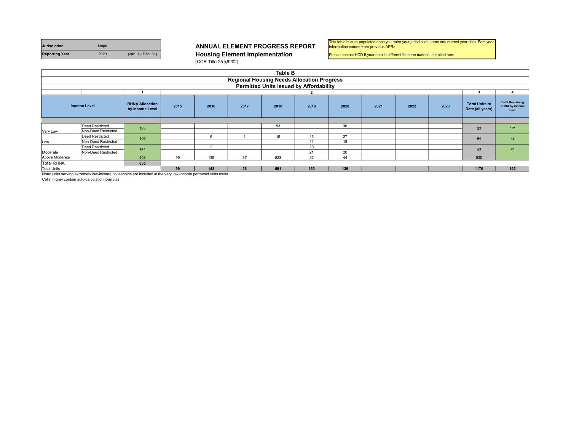| <b>Jurisdiction</b>   | <b>Napa</b> |                    |
|-----------------------|-------------|--------------------|
| <b>Reporting Year</b> | 2020        | (Jan. 1 - Dec. 31) |

**Housing Element Implementation** (CCR Title 25 §6202)

| This table is auto-populated once you enter your jurisdiction name and current year data. Past year |  |
|-----------------------------------------------------------------------------------------------------|--|
| information comes from previous APRs.                                                               |  |

Please contact HCD if your data is different than the material supplied here

|                                                     | Table B                                                                                                                                  |     |    |                |    |                                                |    |    |      |     |                                           |                                                          |     |
|-----------------------------------------------------|------------------------------------------------------------------------------------------------------------------------------------------|-----|----|----------------|----|------------------------------------------------|----|----|------|-----|-------------------------------------------|----------------------------------------------------------|-----|
|                                                     | <b>Regional Housing Needs Allocation Progress</b>                                                                                        |     |    |                |    |                                                |    |    |      |     |                                           |                                                          |     |
|                                                     |                                                                                                                                          |     |    |                |    | <b>Permitted Units Issued by Affordability</b> |    |    |      |     |                                           |                                                          |     |
|                                                     |                                                                                                                                          |     |    |                |    |                                                |    |    |      |     |                                           |                                                          |     |
|                                                     | <b>RHNA Allocation</b><br><b>Income Level</b><br>2015<br>2019<br>2023<br>2016<br>2017<br>2018<br>2020<br>2021<br>2022<br>by Income Level |     |    |                |    |                                                |    |    |      |     | <b>Total Units to</b><br>Date (all years) | <b>Total Remaining</b><br><b>RHNA by Income</b><br>Level |     |
|                                                     |                                                                                                                                          |     |    |                |    |                                                |    |    |      |     |                                           |                                                          |     |
|                                                     | Deed Restricted                                                                                                                          | 185 |    |                |    | 53                                             |    | 30 |      |     |                                           | 83                                                       | 102 |
| Very Low                                            | Non-Deed Restricted                                                                                                                      |     |    |                |    |                                                |    |    |      |     |                                           |                                                          |     |
|                                                     | Deed Restricted                                                                                                                          | 106 |    | 6              |    | 15                                             | 16 | 27 |      |     |                                           | 94                                                       | 12  |
| Low                                                 | Non-Deed Restricted                                                                                                                      |     |    |                |    |                                                | 11 | 18 |      |     |                                           |                                                          |     |
| Deed Restricted                                     |                                                                                                                                          | 141 |    | $\overline{2}$ |    |                                                | 20 |    |      |     |                                           | 63                                                       | 78  |
| Moderate                                            | Non-Deed Restricted                                                                                                                      |     |    |                |    |                                                | 21 | 20 |      |     |                                           |                                                          |     |
| Above Moderate                                      |                                                                                                                                          | 403 | 99 | 135            | 37 | 523                                            | 92 | 44 |      |     |                                           | 930                                                      |     |
| <b>Total RHNA</b>                                   |                                                                                                                                          | 835 |    |                |    |                                                |    |    |      |     |                                           |                                                          |     |
| 99<br>Total Units<br>38<br>591<br>160<br>139<br>143 |                                                                                                                                          |     |    |                |    |                                                |    |    | 1170 | 192 |                                           |                                                          |     |
|                                                     | Nista costo agadas poteneido lau ingenia hacendale que indicele in the concluso ingenia namittad català.                                 |     |    |                |    |                                                |    |    |      |     |                                           |                                                          |     |

Note: units serving extremely low-income households are included in the very low-income pe

Cells in grey contain auto-calculation formulas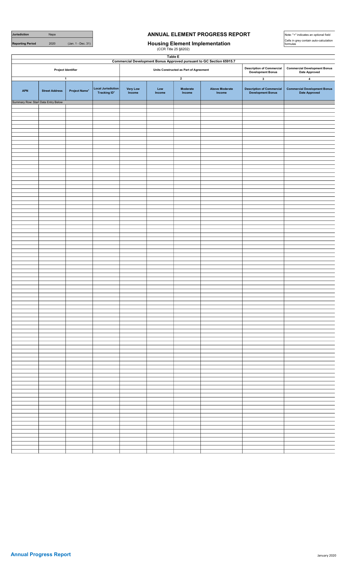# **Jurisdiction** Napa Napa **ANNUAL ELEMENT PROGRESS REPORT**

(CCR Title 25 §6202)

Table E

Note: "+" indicates an optional field Cells in grey contain auto-calculation formulas

Reporting Period 2020 (Jan. 1 - Dec. 31) **Housing Element Implementation** 

|            |                                     |                           |                                       |                    |               | Commercial Development Bonus Approved pursuant to GC Section 65915.7 |                                 |                                                              |                                                       |
|------------|-------------------------------------|---------------------------|---------------------------------------|--------------------|---------------|----------------------------------------------------------------------|---------------------------------|--------------------------------------------------------------|-------------------------------------------------------|
|            |                                     | Project Identifier        |                                       |                    |               | Units Constructed as Part of Agreement                               |                                 | <b>Description of Commercial</b><br><b>Development Bonus</b> | <b>Commercial Development Bonus</b><br>Date Approved  |
|            |                                     | $\overline{\mathbf{1}}$   |                                       |                    |               | $\overline{2}$                                                       |                                 | $\overline{\mathbf{3}}$                                      | $\overline{\mathbf{4}}$                               |
| <b>APN</b> | <b>Street Address</b>               | Project Name <sup>+</sup> | Local Jurisdiction<br>Tracking $ID^+$ | Very Low<br>Income | Low<br>Income | Moderate<br>Income                                                   | <b>Above Moderate</b><br>Income | <b>Description of Commercial<br/>Development Bonus</b>       | <b>Commercial Development Bonus<br/>Date Approved</b> |
|            | Summary Row: Start Data Entry Below |                           |                                       |                    |               |                                                                      |                                 |                                                              |                                                       |
|            |                                     |                           |                                       |                    |               |                                                                      |                                 |                                                              |                                                       |
|            |                                     |                           |                                       |                    |               |                                                                      |                                 |                                                              |                                                       |
|            |                                     |                           |                                       |                    |               |                                                                      |                                 |                                                              |                                                       |
|            |                                     |                           |                                       |                    |               |                                                                      |                                 |                                                              |                                                       |
|            |                                     |                           |                                       |                    |               |                                                                      |                                 |                                                              |                                                       |
|            |                                     |                           |                                       |                    |               |                                                                      |                                 |                                                              |                                                       |
|            |                                     |                           |                                       |                    |               |                                                                      |                                 |                                                              |                                                       |
|            |                                     |                           |                                       |                    |               |                                                                      |                                 |                                                              |                                                       |
|            |                                     |                           |                                       |                    |               |                                                                      |                                 |                                                              |                                                       |
|            |                                     |                           |                                       |                    |               |                                                                      |                                 |                                                              |                                                       |
|            |                                     |                           |                                       |                    |               |                                                                      |                                 |                                                              |                                                       |
|            |                                     |                           |                                       |                    |               |                                                                      |                                 |                                                              |                                                       |
|            |                                     |                           |                                       |                    |               |                                                                      |                                 |                                                              |                                                       |
|            |                                     |                           |                                       |                    |               |                                                                      |                                 |                                                              |                                                       |
|            |                                     |                           |                                       |                    |               |                                                                      |                                 |                                                              |                                                       |
|            |                                     |                           |                                       |                    |               |                                                                      |                                 |                                                              |                                                       |
|            |                                     |                           |                                       |                    |               |                                                                      |                                 |                                                              |                                                       |
|            |                                     |                           |                                       |                    |               |                                                                      |                                 |                                                              |                                                       |
|            |                                     |                           |                                       |                    |               |                                                                      |                                 |                                                              |                                                       |
|            |                                     |                           |                                       |                    |               |                                                                      |                                 |                                                              |                                                       |
|            |                                     |                           |                                       |                    |               |                                                                      |                                 |                                                              |                                                       |
|            |                                     |                           |                                       |                    |               |                                                                      |                                 |                                                              |                                                       |
|            |                                     |                           |                                       |                    |               |                                                                      |                                 |                                                              |                                                       |
|            |                                     |                           |                                       |                    |               |                                                                      |                                 |                                                              |                                                       |
|            |                                     |                           |                                       |                    |               |                                                                      |                                 |                                                              |                                                       |
|            |                                     |                           |                                       |                    |               |                                                                      |                                 |                                                              |                                                       |
|            |                                     |                           |                                       |                    |               |                                                                      |                                 |                                                              |                                                       |
|            |                                     |                           |                                       |                    |               |                                                                      |                                 |                                                              |                                                       |
|            |                                     |                           |                                       |                    |               |                                                                      |                                 |                                                              |                                                       |
|            |                                     |                           |                                       |                    |               |                                                                      |                                 |                                                              |                                                       |
|            |                                     |                           |                                       |                    |               |                                                                      |                                 |                                                              |                                                       |
|            |                                     |                           |                                       |                    |               |                                                                      |                                 |                                                              |                                                       |
|            |                                     |                           |                                       |                    |               |                                                                      |                                 |                                                              |                                                       |
|            |                                     |                           |                                       |                    |               |                                                                      |                                 |                                                              |                                                       |
|            |                                     |                           |                                       |                    |               |                                                                      |                                 |                                                              |                                                       |
|            |                                     |                           |                                       |                    |               |                                                                      |                                 |                                                              |                                                       |
|            |                                     |                           |                                       |                    |               |                                                                      |                                 |                                                              |                                                       |
|            |                                     |                           |                                       |                    |               |                                                                      |                                 |                                                              |                                                       |
|            |                                     |                           |                                       |                    |               |                                                                      |                                 |                                                              |                                                       |
|            |                                     |                           |                                       |                    |               |                                                                      |                                 |                                                              |                                                       |
|            |                                     |                           |                                       |                    |               |                                                                      |                                 |                                                              |                                                       |
|            |                                     |                           |                                       |                    |               |                                                                      |                                 |                                                              |                                                       |
|            |                                     |                           |                                       |                    |               |                                                                      |                                 |                                                              |                                                       |
|            |                                     |                           |                                       |                    |               |                                                                      |                                 |                                                              |                                                       |
|            |                                     |                           |                                       |                    |               |                                                                      |                                 |                                                              |                                                       |
|            |                                     |                           |                                       |                    |               |                                                                      |                                 |                                                              |                                                       |
|            |                                     |                           |                                       |                    |               |                                                                      |                                 |                                                              |                                                       |
|            |                                     |                           |                                       |                    |               |                                                                      |                                 |                                                              |                                                       |
|            |                                     |                           |                                       |                    |               |                                                                      |                                 |                                                              |                                                       |
|            |                                     |                           |                                       |                    |               |                                                                      |                                 |                                                              |                                                       |
|            |                                     |                           |                                       |                    |               |                                                                      |                                 |                                                              |                                                       |
|            |                                     |                           |                                       |                    |               |                                                                      |                                 |                                                              |                                                       |
|            |                                     |                           |                                       |                    |               |                                                                      |                                 |                                                              |                                                       |
|            |                                     |                           |                                       |                    |               |                                                                      |                                 |                                                              |                                                       |
|            |                                     |                           |                                       |                    |               |                                                                      |                                 |                                                              |                                                       |
|            |                                     |                           |                                       |                    |               |                                                                      |                                 |                                                              |                                                       |
|            |                                     |                           |                                       |                    |               |                                                                      |                                 |                                                              |                                                       |
|            |                                     |                           |                                       |                    |               |                                                                      |                                 |                                                              |                                                       |
|            |                                     |                           |                                       |                    |               |                                                                      |                                 |                                                              |                                                       |
|            |                                     |                           |                                       |                    |               |                                                                      |                                 |                                                              |                                                       |
|            |                                     |                           |                                       |                    |               |                                                                      |                                 |                                                              |                                                       |
|            |                                     |                           |                                       |                    |               |                                                                      |                                 |                                                              |                                                       |
|            |                                     |                           |                                       |                    |               |                                                                      |                                 |                                                              |                                                       |
|            |                                     |                           |                                       |                    |               |                                                                      |                                 |                                                              |                                                       |
|            |                                     |                           |                                       |                    |               |                                                                      |                                 |                                                              |                                                       |
|            |                                     |                           |                                       |                    |               |                                                                      |                                 |                                                              |                                                       |
|            |                                     |                           |                                       |                    |               |                                                                      |                                 |                                                              |                                                       |
|            |                                     |                           |                                       |                    |               |                                                                      |                                 |                                                              |                                                       |
|            |                                     |                           |                                       |                    |               |                                                                      |                                 |                                                              |                                                       |
|            |                                     |                           |                                       |                    |               |                                                                      |                                 |                                                              |                                                       |
|            |                                     |                           |                                       |                    |               |                                                                      |                                 |                                                              |                                                       |
|            |                                     |                           |                                       |                    |               |                                                                      |                                 |                                                              |                                                       |
|            |                                     |                           |                                       |                    |               |                                                                      |                                 |                                                              |                                                       |
|            |                                     |                           |                                       |                    |               |                                                                      |                                 |                                                              |                                                       |
|            |                                     |                           |                                       |                    |               |                                                                      |                                 |                                                              |                                                       |
|            |                                     |                           |                                       |                    |               |                                                                      |                                 |                                                              |                                                       |
|            |                                     |                           |                                       |                    |               |                                                                      |                                 |                                                              |                                                       |
|            |                                     |                           |                                       |                    |               |                                                                      |                                 |                                                              |                                                       |
|            |                                     |                           |                                       |                    |               |                                                                      |                                 |                                                              |                                                       |
|            |                                     |                           |                                       |                    |               |                                                                      |                                 |                                                              |                                                       |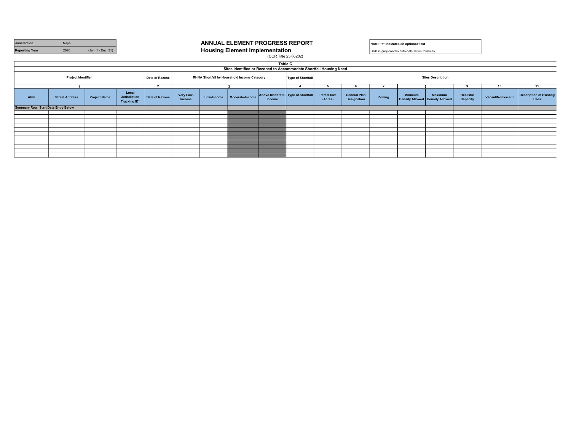| Jurisdiction<br><b>Reporting Year</b>      | Napa<br>2020                                                                                                                                       |               | ANNUAL ELEMENT PROGRESS REPORT<br><b>Housing Element Implementation</b> |                |                     |            |                 |                                             | Note: "+" indicates an optional field<br>Cells in grey contain auto-calculation formulas |                               |                                           |        |                |                                              |                       |                  |                                               |
|--------------------------------------------|----------------------------------------------------------------------------------------------------------------------------------------------------|---------------|-------------------------------------------------------------------------|----------------|---------------------|------------|-----------------|---------------------------------------------|------------------------------------------------------------------------------------------|-------------------------------|-------------------------------------------|--------|----------------|----------------------------------------------|-----------------------|------------------|-----------------------------------------------|
|                                            |                                                                                                                                                    |               |                                                                         |                |                     |            |                 | (CCR Title 25 §6202)                        |                                                                                          |                               |                                           |        |                |                                              |                       |                  |                                               |
|                                            | <b>Table C</b><br>Sites Identified or Rezoned to Accommodate Shortfall Housing Need                                                                |               |                                                                         |                |                     |            |                 |                                             |                                                                                          |                               |                                           |        |                |                                              |                       |                  |                                               |
|                                            | <b>Project Identifier</b><br>RHNA Shortfall by Household Income Category<br><b>Sites Description</b><br>Date of Rezone<br><b>Type of Shortfall</b> |               |                                                                         |                |                     |            |                 |                                             |                                                                                          |                               |                                           |        |                |                                              |                       |                  |                                               |
|                                            | $\sim$                                                                                                                                             |               |                                                                         |                |                     |            |                 |                                             | $\overline{\mathbf{A}}$                                                                  |                               |                                           |        |                |                                              |                       | 10               | 11                                            |
| <b>APN</b>                                 | <b>Street Address</b>                                                                                                                              | Project Name* | Local<br>Jurisdiction<br>Tracking ID <sup>+</sup>                       | Date of Rezone | Very Low-<br>Income | Low-Income | Moderate-Income | Above Moderate- Type of Shortfall<br>Income |                                                                                          | <b>Parcel Size</b><br>(Acres) | <b>General Plan</b><br><b>Designation</b> | Zonina | <b>Minimum</b> | Maximum<br>Density Allowed   Density Allowed | Realistic<br>Capacity | Vacant/Nonvacant | <b>Description of Existing</b><br><b>Uses</b> |
| <b>Summary Row: Start Data Entry Below</b> |                                                                                                                                                    |               |                                                                         |                |                     |            |                 |                                             |                                                                                          |                               |                                           |        |                |                                              |                       |                  |                                               |
|                                            |                                                                                                                                                    |               |                                                                         |                |                     |            |                 |                                             |                                                                                          |                               |                                           |        |                |                                              |                       |                  |                                               |
|                                            |                                                                                                                                                    |               |                                                                         |                |                     |            |                 |                                             |                                                                                          |                               |                                           |        |                |                                              |                       |                  |                                               |
|                                            |                                                                                                                                                    |               |                                                                         |                |                     |            |                 |                                             |                                                                                          |                               |                                           |        |                |                                              |                       |                  |                                               |
|                                            |                                                                                                                                                    |               |                                                                         |                |                     |            |                 |                                             |                                                                                          |                               |                                           |        |                |                                              |                       |                  |                                               |
|                                            |                                                                                                                                                    |               |                                                                         |                |                     |            |                 |                                             |                                                                                          |                               |                                           |        |                |                                              |                       |                  |                                               |
|                                            |                                                                                                                                                    |               |                                                                         |                |                     |            |                 |                                             |                                                                                          |                               |                                           |        |                |                                              |                       |                  |                                               |
|                                            |                                                                                                                                                    |               |                                                                         |                |                     |            |                 |                                             |                                                                                          |                               |                                           |        |                |                                              |                       |                  |                                               |
|                                            |                                                                                                                                                    |               |                                                                         |                |                     |            |                 |                                             |                                                                                          |                               |                                           |        |                |                                              |                       |                  |                                               |
|                                            |                                                                                                                                                    |               |                                                                         |                |                     |            |                 |                                             |                                                                                          |                               |                                           |        |                |                                              |                       |                  |                                               |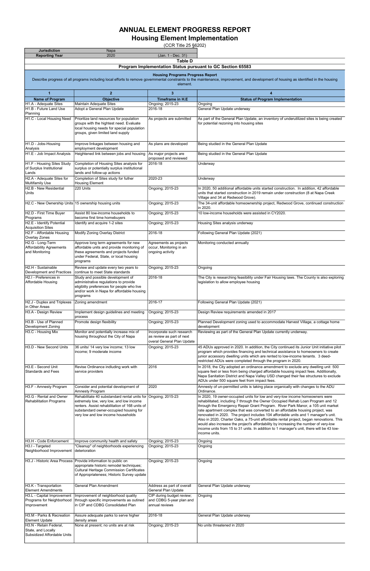| <b>Jurisdiction</b>                                                         | Napa                                                                                                                                                                                                   |                                                                                      |                                                                                                                                                                                                                                                                                                                                                                                                                                                                                                                                                                                                                                              |
|-----------------------------------------------------------------------------|--------------------------------------------------------------------------------------------------------------------------------------------------------------------------------------------------------|--------------------------------------------------------------------------------------|----------------------------------------------------------------------------------------------------------------------------------------------------------------------------------------------------------------------------------------------------------------------------------------------------------------------------------------------------------------------------------------------------------------------------------------------------------------------------------------------------------------------------------------------------------------------------------------------------------------------------------------------|
| <b>Reporting Year</b>                                                       | 2020                                                                                                                                                                                                   | (Jan. 1 - Dec. 31)<br><b>Table D</b>                                                 |                                                                                                                                                                                                                                                                                                                                                                                                                                                                                                                                                                                                                                              |
|                                                                             |                                                                                                                                                                                                        |                                                                                      | Program Implementation Status pursuant to GC Section 65583                                                                                                                                                                                                                                                                                                                                                                                                                                                                                                                                                                                   |
|                                                                             |                                                                                                                                                                                                        | <b>Housing Programs Progress Report</b>                                              |                                                                                                                                                                                                                                                                                                                                                                                                                                                                                                                                                                                                                                              |
|                                                                             |                                                                                                                                                                                                        | element.                                                                             | Describe progress of all programs including local efforts to remove governmental constraints to the maintenance, improvement, and development of housing as identified in the housing                                                                                                                                                                                                                                                                                                                                                                                                                                                        |
| $\mathbf{1}$                                                                | $\overline{2}$                                                                                                                                                                                         | 3                                                                                    | 4                                                                                                                                                                                                                                                                                                                                                                                                                                                                                                                                                                                                                                            |
| <b>Name of Program</b>                                                      | <b>Objective</b>                                                                                                                                                                                       | <b>Timeframe in H.E</b>                                                              | <b>Status of Program Implementation</b>                                                                                                                                                                                                                                                                                                                                                                                                                                                                                                                                                                                                      |
| H1.A - Adequate Sites<br>H1.B - Future Land Use<br>Planning                 | <b>Maintain Adequate Sites</b><br>Adopt a General Plan Update                                                                                                                                          | Ongoing; 2015-23<br>2016-18                                                          | Ongoing<br>General Plan Update underway                                                                                                                                                                                                                                                                                                                                                                                                                                                                                                                                                                                                      |
| H1.C - Local Housing Need                                                   | Prioritize land resources for population<br>groups with the hightest need. Evaluate<br>local housing needs for special population<br>groups, given limited land supply                                 | As projects are submitted                                                            | As part of the General Plan Update, an inventory of underutilized sites is being created<br>for potential rezoning into housing sites                                                                                                                                                                                                                                                                                                                                                                                                                                                                                                        |
| H1.D - Jobs-Housing<br>Analysis                                             | Improve linkages between housing and<br>employment development                                                                                                                                         | As plans are developed                                                               | Being studied in the General Plan Update                                                                                                                                                                                                                                                                                                                                                                                                                                                                                                                                                                                                     |
| H1.E - Job Impact Analysis                                                  | Heightened link between jobs and housing                                                                                                                                                               | As major projects are<br>proposed and reviewed                                       | Being studied in the General Plan Update                                                                                                                                                                                                                                                                                                                                                                                                                                                                                                                                                                                                     |
| H1.F - Housing Sites Study<br>of Surplus Institutional<br>Lands             | Completion of Housing Sites analysis for<br>surplus or potentially surplus institutional<br>lands and follow-up actions                                                                                | 2016-18                                                                              | Underway                                                                                                                                                                                                                                                                                                                                                                                                                                                                                                                                                                                                                                     |
| H2.A - Adequate Sites for<br>Multifamily Use                                | Completion of Sites study for futher<br><b>Housing Element</b>                                                                                                                                         | 2020-23                                                                              | Underway                                                                                                                                                                                                                                                                                                                                                                                                                                                                                                                                                                                                                                     |
| H2.B - New Residential<br>Units                                             | 220 Units                                                                                                                                                                                              | Ongoing; 2015-23                                                                     | In 2020, 50 additional affordable units started construction. In addition, 42 affordable<br>units that started construction in 2019 remain under construction (8 at Napa Creek                                                                                                                                                                                                                                                                                                                                                                                                                                                               |
| H2.C - New Ownership Units 15 ownership housing units                       |                                                                                                                                                                                                        | Ongoing; 2015-23                                                                     | Village and 34 at Redwood Grove).<br>The 34-unit affordable homeownership project, Redwood Grove, continued construction<br>in 2020.                                                                                                                                                                                                                                                                                                                                                                                                                                                                                                         |
| H2.D - First Time Buyer<br>Programs                                         | Assist 80 low-income households to<br>become first time homebuyers                                                                                                                                     | Ongoing; 2015-23                                                                     | 10 low-income households were assisted in CY2020.                                                                                                                                                                                                                                                                                                                                                                                                                                                                                                                                                                                            |
| H2.E - Identify Potential<br>Acquisition Sites                              | Identify and acquire 1-2 sites                                                                                                                                                                         | Ongoing; 2015-23                                                                     | Housing Sites analysis underway                                                                                                                                                                                                                                                                                                                                                                                                                                                                                                                                                                                                              |
| H2.F - Affordable Housing<br>Overlay Zones                                  | Modify Zoning Overlay District                                                                                                                                                                         | 2016-18                                                                              | Following General Plan Update (2021)                                                                                                                                                                                                                                                                                                                                                                                                                                                                                                                                                                                                         |
| H <sub>2</sub> .G - Long-Term<br>Affordability Agreements<br>and Monitoring | Approve long term agreements for new<br>affordable units and provide monitoring of<br>these agreements and projects funded<br>under Federal, State, or local housing<br>programs                       | Agreements as projects<br>occur, Monitoring in an<br>ongoing activity                | Monitoring conducted annually                                                                                                                                                                                                                                                                                                                                                                                                                                                                                                                                                                                                                |
| H2.H - Sustainable<br>Development and Practices                             | Review and update every two years to<br>continue to meet State standards                                                                                                                               | Ongoing; 2015-23                                                                     | Ongoing                                                                                                                                                                                                                                                                                                                                                                                                                                                                                                                                                                                                                                      |
| H2.I - Preferences in                                                       | Study and possible development of                                                                                                                                                                      | 2016-18                                                                              | The City is researching feasibility under Fair Housing laws. The County is also exploring                                                                                                                                                                                                                                                                                                                                                                                                                                                                                                                                                    |
| Affordable Housing                                                          | administrative regulations to provide<br>eligiblity preferences for people who live<br>and/or work in Napa for affordable housing<br>programs                                                          |                                                                                      | legislation to allow employee housing                                                                                                                                                                                                                                                                                                                                                                                                                                                                                                                                                                                                        |
| H2.J - Duplex and Triplexes<br>in Other Areas                               | Zoning amendment                                                                                                                                                                                       | 2016-17                                                                              | Following General Plan Update (2021)                                                                                                                                                                                                                                                                                                                                                                                                                                                                                                                                                                                                         |
| H3.A - Design Review                                                        | Implement design guidelines and meeting                                                                                                                                                                | Ongoing; 2015-23                                                                     | Design Review requirements amended in 2017                                                                                                                                                                                                                                                                                                                                                                                                                                                                                                                                                                                                   |
| H3.B - Use of Planned                                                       | process<br>Promote design flexibility                                                                                                                                                                  | Ongoing; 2015-23                                                                     | Planned Development zoning used to accommodate Harvest Village, a cottage home                                                                                                                                                                                                                                                                                                                                                                                                                                                                                                                                                               |
| Development Zoning<br>H3.C - Housing Mix                                    | Monitor and potentially increase mix of<br>housing throughout the City of Napa                                                                                                                         | Incorporate such research<br>as review as part of next<br>overal General Plan Update | development<br>Reviewing as part of the General Plan Update currently underway.                                                                                                                                                                                                                                                                                                                                                                                                                                                                                                                                                              |
| H3.D - New Second Units                                                     | 36 units/ 14 very low income; 13 low<br>income; 9 moderate income                                                                                                                                      | Ongoing; 2015-23                                                                     | 45 ADUs approved in 2020. In addition, the City continued its Junior Unit initiative pilot<br>program which provides financing and technical assistance to homeowners to create<br>junior accessory dwelling units which are rented to low-income tenants. 3 deed-<br>restricted ADUs were completed through the program in 2020.                                                                                                                                                                                                                                                                                                            |
| H3.E - Second Unit<br><b>Standards and Fees</b>                             | Revise Ordinance indluding work with<br>service providers                                                                                                                                              | 2016                                                                                 | In 2018, the City adopted an ordinance amendment to exclude any dwelling unit 500<br>square feet or less from being charged affordable housing impact fees. Additionally,<br>Napa Sanitation District and Napa Valley USD changed their fee structures to exclude<br>ADUs under 500 square feet from impact fees.                                                                                                                                                                                                                                                                                                                            |
| H3.F - Amnesty Program                                                      | Consider and potential development of                                                                                                                                                                  | 2020                                                                                 | Amnesty of un-permitted units is taking place organically with changes to the ADU                                                                                                                                                                                                                                                                                                                                                                                                                                                                                                                                                            |
| H3.G - Rental and Owner                                                     | Amnesty Program<br>Rehabilitate 40 substandard rental units for Ongoing; 2015-23                                                                                                                       |                                                                                      | Ordinance.<br>In 2020, 19 owner-occupied units for low and very-low income homeowners were                                                                                                                                                                                                                                                                                                                                                                                                                                                                                                                                                   |
| Rehabilitation Programs                                                     | extremely low, very low, and low income<br>renters. Assist rehabilitation of 168 units of<br>substandard owner-occupied housing for<br>very low and low income households                              |                                                                                      | rehabilitated, including 7 through the Owner Occupied Rehab Loan Program and 12<br>through the Emergency Repair Grant Program. River Park Manor, a 105 unit market<br>rate apartment complex that was converted to an affordable housing project, was<br>renovated in 2020. The project includes 104 affordable units and 1 manager's unit.<br>Also in 2020, Charter Oaks, a 75-unit affordable rental project, began renovations. This<br>would also increase the project's affordability by increasing the number of very-low<br>income units from 15 to 31 units. In addition to 1 manager's unit, there will be 43 low-<br>income units. |
| H3.H - Code Enforcement                                                     | Improve community health and safety                                                                                                                                                                    | Ongoing; 2015-23                                                                     | Ongoing                                                                                                                                                                                                                                                                                                                                                                                                                                                                                                                                                                                                                                      |
| H3.I - Targeted<br>Neighborhood Improvement                                 | "Cleanup" of neighborhoods experiencing<br>deterioration                                                                                                                                               | Ongoing; 2015-23                                                                     | Ongoing                                                                                                                                                                                                                                                                                                                                                                                                                                                                                                                                                                                                                                      |
|                                                                             | H3.J - Historic Area Process   Provide information to public on<br>appropriate historic remodel techniques;<br>Cultural Heritage Commission Certificates<br>of Appropriateness; Historic Survey update | Ongoing; 2015-23                                                                     | Ongoing                                                                                                                                                                                                                                                                                                                                                                                                                                                                                                                                                                                                                                      |
| H3.K - Transportation<br>Element Amendments                                 | <b>General Plan Amendment</b>                                                                                                                                                                          | Address as part of overall<br>General Plan Update                                    | General Plan Update underway                                                                                                                                                                                                                                                                                                                                                                                                                                                                                                                                                                                                                 |
| H3.L - Capital Improvement<br>Programs for Neighborhood<br>Improvement      | Improvement of neighborhood quality<br>through specific improvements as outined<br>in CIP and CDBG Consolidated Plan                                                                                   | CIP during budget review;<br>and CDBG 5-year plan and<br>annual reviews              | Ongoing                                                                                                                                                                                                                                                                                                                                                                                                                                                                                                                                                                                                                                      |
| H3.M - Parks & Recreation                                                   | Assure adequate parks to serve higher                                                                                                                                                                  | 2016-18                                                                              | General Plan Update underway                                                                                                                                                                                                                                                                                                                                                                                                                                                                                                                                                                                                                 |
| Element Update<br>H3.N - Retain Federal,<br>State, and Locally              | density areas<br>None at present; no units are at risk                                                                                                                                                 | Ongoing; 2015-23                                                                     | No units threatened in 2020                                                                                                                                                                                                                                                                                                                                                                                                                                                                                                                                                                                                                  |
| Subsidized Affordable Units                                                 |                                                                                                                                                                                                        |                                                                                      |                                                                                                                                                                                                                                                                                                                                                                                                                                                                                                                                                                                                                                              |

## Housing Element Implementation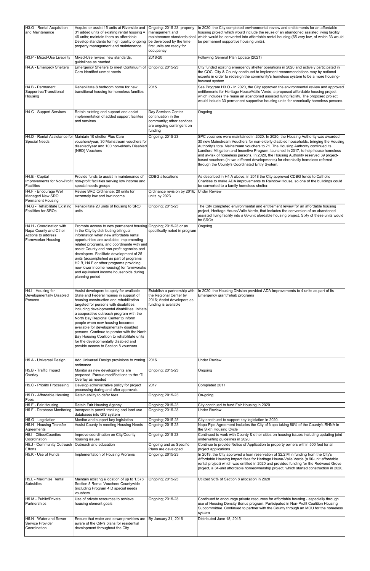| H3.O - Rental Acquisition<br>and Maintenance                                                  | Acquire or assist 15 units at Riverside and<br>31 added units of existing rental housing =<br>46 units; maintain them as affordable.<br>Develop standards for high quality ongoing   be developed by the time<br>property management and maintenance                                                                                                                                                                                                                                                                                                                    | Ongoing; 2015-23; property<br>management and<br>maintenance standards shall<br>first units are ready for<br>occupancy | In 2020, the City completed environmental review and entitlements for an affordable<br>housing project which would include the reuse of an abandoned assisted living facility<br>which would be converted into affordable rental housing (65 very-low, of which 33 would<br>be permanent supportive housing units).                                                                                                                                                                                                                                                               |
|-----------------------------------------------------------------------------------------------|-------------------------------------------------------------------------------------------------------------------------------------------------------------------------------------------------------------------------------------------------------------------------------------------------------------------------------------------------------------------------------------------------------------------------------------------------------------------------------------------------------------------------------------------------------------------------|-----------------------------------------------------------------------------------------------------------------------|-----------------------------------------------------------------------------------------------------------------------------------------------------------------------------------------------------------------------------------------------------------------------------------------------------------------------------------------------------------------------------------------------------------------------------------------------------------------------------------------------------------------------------------------------------------------------------------|
| H3.P - Mixed-Use Livability                                                                   | Mixed-Use review; new standards,                                                                                                                                                                                                                                                                                                                                                                                                                                                                                                                                        | 2018-20                                                                                                               | Following General Plan Update (2021)                                                                                                                                                                                                                                                                                                                                                                                                                                                                                                                                              |
| H4.A - Emergecy Shelters                                                                      | guidelines as needed<br>Emergency Shelters to meet Continuum of Ongoing; 2015-23<br>Care identifed unmet needs                                                                                                                                                                                                                                                                                                                                                                                                                                                          |                                                                                                                       | City funded existing emergency shelter operations in 2020 and actively participated in<br>the COC. City & County continued to implement recommendations may by national<br>experts in order to redesign the community's homeless system to be a more housing-<br>focused system.                                                                                                                                                                                                                                                                                                  |
| H4.B - Permanent<br>Supportive/Transitional<br>Housing                                        | Rehabilitate 8 bedroom home for new<br>transitional housing for homeless families                                                                                                                                                                                                                                                                                                                                                                                                                                                                                       | 2015                                                                                                                  | See Program H3.O - In 2020, the City approved the environmental review and approved<br>entitlements for Heritage House/Valle Verde, a proposed affordable housing project<br>which includes the reuse an abandoned assisted living facility. The proposed project<br>would include 33 permanent supportive housing units for chronically homeless persons.                                                                                                                                                                                                                        |
| H4.C - Support Services                                                                       | Retain existing and support and assist                                                                                                                                                                                                                                                                                                                                                                                                                                                                                                                                  | Day Services Center                                                                                                   | Ongoing                                                                                                                                                                                                                                                                                                                                                                                                                                                                                                                                                                           |
|                                                                                               | implementation of added support facilites<br>and services                                                                                                                                                                                                                                                                                                                                                                                                                                                                                                               | continuation in the<br>community; other services<br>are ongoing contingent on<br>funding                              |                                                                                                                                                                                                                                                                                                                                                                                                                                                                                                                                                                                   |
| Special Needs                                                                                 | H4.D - Rental Assistance for Maintain 10 shelter Plus Care<br>vouchers/year, 30 Mainstream vouchers for<br>disabled/year and 100 non-elderly Disabled<br>(NED) Vouchers                                                                                                                                                                                                                                                                                                                                                                                                 | Ongoing; 2015-23                                                                                                      | SPC vouchers were maintained in 2020. In 2020, the Housing Authority was awarded<br>30 new Mainstream Vouchers for non-elderly disabled households, bringing the Housing<br>Authority's total Mainstream vouchers to 71. The Housing Authority continued its<br>Landlord Mitigation and Incentive Program, launched in 2017, to help house homeless<br>and at-risk of homeless persons. In 2020, the Housing Authority reserved 39 project-<br>based vouchers (in two different developments) for chronically homeless referred<br>through the County's Coordinated Entry System. |
| H4.E - Capital<br>Improvements for Non-Profit<br><b>Facilities</b>                            | Provide funds to assist in maintenance of<br>non-profit facilities serving low income and<br>special needs groups                                                                                                                                                                                                                                                                                                                                                                                                                                                       | CDBG allocations                                                                                                      | As described in H4.A above, in 2018 the City approved CDBG funds to Catholic<br>Charities to make ADA improvements to Rainbow House, so one of the buildings could<br>be converted to a family homeless shelter.                                                                                                                                                                                                                                                                                                                                                                  |
| H4.F - Encourage Well<br>Managed New SRO<br>Permanent Housing                                 | Revise SRO Ordinance; 20 units for<br>extremely low and low income                                                                                                                                                                                                                                                                                                                                                                                                                                                                                                      | Ordinance revision by 2016;<br>units by 2023                                                                          | <b>Under Review</b>                                                                                                                                                                                                                                                                                                                                                                                                                                                                                                                                                               |
| H4.G - Rehabilitate Existing<br>Facilities for SROs                                           | Rehabilitate 20 units of housing to SRO<br>units                                                                                                                                                                                                                                                                                                                                                                                                                                                                                                                        | Ongoing; 2015-23                                                                                                      | The City completed environmental and entitlement review for an affordable housing<br>project, Heritage House/Valle Verde, that includes the conversion of an abandoned<br>assisted living facility into a 66-unit afordable housing project. Sixty of these units would<br>be SROs.                                                                                                                                                                                                                                                                                               |
| H4.H - Coordination with<br>Napa County and Other<br>Actions to address<br>Farmworker Housing | Promote access to new permanent housing Ongoing; 2015-23 or as<br>in the City by distributing bilingual<br>information when new affordable rental<br>opportunities are available, implementing<br>related programs, and coordinante with and<br>assist County and non-profit agencies and<br>developers. Facilitate development of 25<br>units (accomplished as part of programs<br>H2.B, H4.F or other programs providing<br>new lower income housing) for farmworaks<br>and equivalent income households during<br>planning period                                    | specifically noted in program                                                                                         | Ongoing                                                                                                                                                                                                                                                                                                                                                                                                                                                                                                                                                                           |
| H4.I - Housing for<br>Developmentally Disabled<br>Persons                                     | Assist developers to apply for available<br>State and Federal monies in support of<br>housing construction and rehabilitation<br>targeted for persons with disabilities,<br>including developmental disabilities. Initiate<br>a cooperative outreach program with the<br>North Bay Regional Center to inform<br>people when new housing becomes<br>available for developmentally disabled<br>persons. Continue to parnter with the North<br>Bay Housing Coalition to rehabilitate units<br>for the developmentally disabled and<br>provide access to Section 8 vouchers | Establish a partnership with<br>the Regional Center by<br>2016; Assist developers as<br>funding is available          | In 2020, the Housing Division provided ADA Improvements to 4 units as part of its<br>Emergency grant/rehab programs                                                                                                                                                                                                                                                                                                                                                                                                                                                               |
| H5.A - Universal Design                                                                       | Add Universal Design provisions to zoning<br>ordinance                                                                                                                                                                                                                                                                                                                                                                                                                                                                                                                  | 2016                                                                                                                  | <b>Under Review</b>                                                                                                                                                                                                                                                                                                                                                                                                                                                                                                                                                               |
| H5.B - Traffic Impact<br>Overlay                                                              | Monitor as new developments are<br>proposed. Pursue modifications to the : TI                                                                                                                                                                                                                                                                                                                                                                                                                                                                                           | Ongoing; 2015-23                                                                                                      | Ongoing                                                                                                                                                                                                                                                                                                                                                                                                                                                                                                                                                                           |
| H5.C - Priority Processing                                                                    | Overlay as needed<br>Develop administrative policy for project                                                                                                                                                                                                                                                                                                                                                                                                                                                                                                          | 2017                                                                                                                  | Completed 2017                                                                                                                                                                                                                                                                                                                                                                                                                                                                                                                                                                    |
| H5.D - Affordable Housing                                                                     | processing during and after approvals<br>Retain ability to defer fees                                                                                                                                                                                                                                                                                                                                                                                                                                                                                                   | Ongoing; 2015-23                                                                                                      | On-going.                                                                                                                                                                                                                                                                                                                                                                                                                                                                                                                                                                         |
| Fees<br>H5.E - Fair Housing                                                                   | Retain Fair Housing Agency                                                                                                                                                                                                                                                                                                                                                                                                                                                                                                                                              | Ongoing; 2015-23                                                                                                      | City continued to fund Fair Housing in 2020.                                                                                                                                                                                                                                                                                                                                                                                                                                                                                                                                      |
| H5.F - Database Monitoring                                                                    | Incorporate permit tracking and land use<br>databases into GIS system                                                                                                                                                                                                                                                                                                                                                                                                                                                                                                   | Ongoing; 2015-23                                                                                                      | <b>Under Review</b>                                                                                                                                                                                                                                                                                                                                                                                                                                                                                                                                                               |
| H5.G - Legislation<br>H5.H - Housing Transfer<br>Agreements                                   | Monitor and support key legislation<br>Assist County in meeting Housing Needs                                                                                                                                                                                                                                                                                                                                                                                                                                                                                           | Ongoing; 2015-23<br>Ongoing; 2015-23                                                                                  | City continued to support key legislation in 2020.<br>Napa Pipe Agreement includes the City of Napa taking 80% of the County's RHNA in<br>the Sixth Housing Cycle                                                                                                                                                                                                                                                                                                                                                                                                                 |
| H5.I - Cities/Counties                                                                        | Improve coordination on City/County                                                                                                                                                                                                                                                                                                                                                                                                                                                                                                                                     | Ongoing; 2015-23                                                                                                      | Continued to work with County & other cities on housing issues including updating joint                                                                                                                                                                                                                                                                                                                                                                                                                                                                                           |
| Coordination<br>H5.J - Community Outreach   Outreach and education                            | housing issues                                                                                                                                                                                                                                                                                                                                                                                                                                                                                                                                                          | Ongoing and as Specific                                                                                               | underwriting guidelines in 2020.<br>Continue to provide Notice of Application to property owners within 500 feet for all                                                                                                                                                                                                                                                                                                                                                                                                                                                          |
| Efforts<br>H5.K - Use of Funds                                                                | Implementation of Housing Prorams                                                                                                                                                                                                                                                                                                                                                                                                                                                                                                                                       | Plans are developed<br>Ongoing; 2015-23                                                                               | project applications.<br>In 2019, the City approved a loan reservation of \$2.2 M in funding from the City's                                                                                                                                                                                                                                                                                                                                                                                                                                                                      |
|                                                                                               |                                                                                                                                                                                                                                                                                                                                                                                                                                                                                                                                                                         |                                                                                                                       | Affordable Housing Impact fees for Heritage House-Valle Verde (a 90-unit affordable<br>rental project) which was entitled in 2020 and provided funding for the Redwood Grove<br>project, a 34-unit affordable homeownership project, which started construction in 2020.                                                                                                                                                                                                                                                                                                          |
| H5.L - Maximize Rental<br>Subsidies                                                           | Maintain existing allocation of up to 1,378<br>Section 8 Rental Vouchers Countywide<br>(including Program 4.D special needs<br>vouchers                                                                                                                                                                                                                                                                                                                                                                                                                                 | Ongoing; 2015-23                                                                                                      | Utilized 98% of Section 8 allocation in 2020                                                                                                                                                                                                                                                                                                                                                                                                                                                                                                                                      |
| H5.M - Public/Private<br>Partnerships                                                         | Use of private resources to achieve<br>housing element goals                                                                                                                                                                                                                                                                                                                                                                                                                                                                                                            | Ongoing; 2015-23                                                                                                      | Continued to encourage private resources for affordable housing - especially through<br>use of Housing Density Bonus program. Participated in Non-Profit Coalition Housing<br>Subcommittee. Continued to partner with the County through an MOU for the homeless<br>system                                                                                                                                                                                                                                                                                                        |
| H5.N - Water and Sewer                                                                        | Ensure that water and sewer providers are                                                                                                                                                                                                                                                                                                                                                                                                                                                                                                                               | By January 31, 2016                                                                                                   | Distributed June 18, 2015                                                                                                                                                                                                                                                                                                                                                                                                                                                                                                                                                         |
| Service Provider<br>Coordination                                                              | aware of the City's plans for residential<br>development throughout the City                                                                                                                                                                                                                                                                                                                                                                                                                                                                                            |                                                                                                                       |                                                                                                                                                                                                                                                                                                                                                                                                                                                                                                                                                                                   |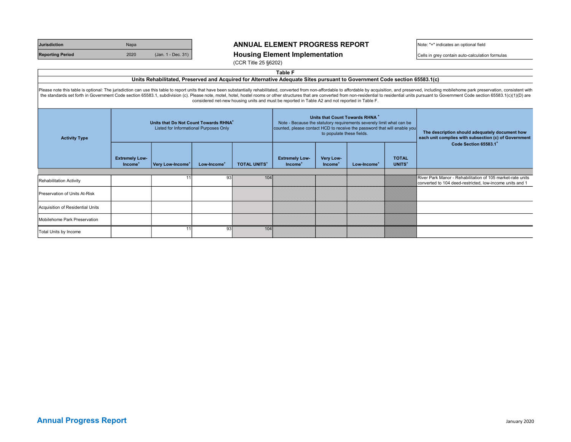| <b>Jurisdiction</b>     | <b>Napa</b> |                    |
|-------------------------|-------------|--------------------|
| <b>Reporting Period</b> | 2020        | (Jan. 1 - Dec. 31) |

### ANNUAL ELEMENT PROGRESS REPORT Note: "+" indicates an optional field

#### **Rousing Element Implementation** and  $\overline{\phantom{a}}$   $\overline{\phantom{a}}$   $\overline{\phantom{a}}$   $\overline{\phantom{a}}$   $\overline{\phantom{a}}$   $\overline{\phantom{a}}$   $\overline{\phantom{a}}$   $\overline{\phantom{a}}$   $\overline{\phantom{a}}$   $\overline{\phantom{a}}$   $\overline{\phantom{a}}$   $\overline{\phantom{a}}$   $\overline{\phantom{a}}$   $\overline{\phantom{a}}$   $\overline{\phantom{a}}$   $\overline{\$

(CCR Title 25 §6202)

| ıп<br>æ<br>Н<br>п<br>×<br>۰. |  |
|------------------------------|--|
|------------------------------|--|

#### Please note this table is optional: The jurisdiction can use this table to report units that have been substantially rehabilitated, converted from non-affordable to affordable by acquisition, and preserved, including mobil the standards set forth in Government Code section 65583.1, subdivision (c). Please note, motel, hostel, hostel rooms or other structures that are converted from non-residential to residential units pursuant to Government considered net-new housing units and must be reported in Table A2 and not reported in Table F. Units Rehabilitated, Preserved and Acquired for Alternative Adequate Sites pursuant to Government Code section 65583.1(c)

| Units that Do Not Count Towards RHNA <sup>+</sup><br>Listed for Informational Purposes Only<br><b>Activity Type</b> |                                              |                              | Units that Count Towards RHNA <sup>+</sup><br>Note - Because the statutory requirements severely limit what can be<br>counted, please contact HCD to receive the password that will enable you<br>to populate these fields. |                     |                                              |                                  | The description should adequately document how<br>each unit complies with subsection (c) of Government |                                    |                                                                                                                        |  |
|---------------------------------------------------------------------------------------------------------------------|----------------------------------------------|------------------------------|-----------------------------------------------------------------------------------------------------------------------------------------------------------------------------------------------------------------------------|---------------------|----------------------------------------------|----------------------------------|--------------------------------------------------------------------------------------------------------|------------------------------------|------------------------------------------------------------------------------------------------------------------------|--|
|                                                                                                                     | <b>Extremely Low-</b><br>Income <sup>+</sup> | Very Low-Income <sup>+</sup> | Low-Income <sup>+</sup>                                                                                                                                                                                                     | <b>TOTAL UNITS*</b> | <b>Extremely Low-</b><br>Income <sup>+</sup> | Very Low-<br>Income <sup>®</sup> | Low-Income <sup>+</sup>                                                                                | <b>TOTAL</b><br>UNITS <sup>+</sup> | Code Section 65583.1                                                                                                   |  |
| Rehabilitation Activity                                                                                             |                                              |                              | 93                                                                                                                                                                                                                          | 104                 |                                              |                                  |                                                                                                        |                                    | River Park Manor - Rehabilitation of 105 market-rate units<br>converted to 104 deed-restricted, low-income units and 1 |  |
| Preservation of Units At-Risk                                                                                       |                                              |                              |                                                                                                                                                                                                                             |                     |                                              |                                  |                                                                                                        |                                    |                                                                                                                        |  |
| Acquisition of Residential Units                                                                                    |                                              |                              |                                                                                                                                                                                                                             |                     |                                              |                                  |                                                                                                        |                                    |                                                                                                                        |  |
| Mobilehome Park Preservation                                                                                        |                                              |                              |                                                                                                                                                                                                                             |                     |                                              |                                  |                                                                                                        |                                    |                                                                                                                        |  |
| Total Units by Income                                                                                               |                                              |                              | 93                                                                                                                                                                                                                          | 104                 |                                              |                                  |                                                                                                        |                                    |                                                                                                                        |  |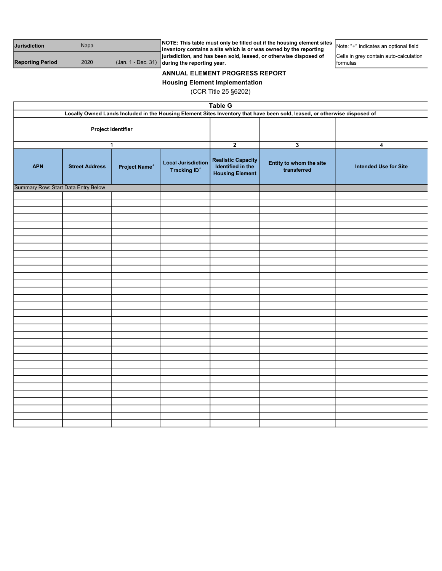| <b>Jurisdiction</b>     | Napa | <b>NOTE:</b> This table must only be filled out if the housing element sites $\mathbf{R}$ .<br>$\mathsf I$ inventory contains a site which is or was owned by the reporting | Note: "+" indicates an optional field |
|-------------------------|------|-----------------------------------------------------------------------------------------------------------------------------------------------------------------------------|---------------------------------------|
|                         |      | jurisdiction, and has been sold, leased, or otherwise disposed of                                                                                                           | Cells in grey contain auto-calculatio |
| <b>Reporting Period</b> | 2020 | $($ Jan. 1 - Dec. 31) during the reporting year.                                                                                                                            | Iformulas                             |

ation

Housing Element Implementation

| <b>Table G</b>                                                                                                            |                       |                           |                                                             |                                                                          |                                        |                              |
|---------------------------------------------------------------------------------------------------------------------------|-----------------------|---------------------------|-------------------------------------------------------------|--------------------------------------------------------------------------|----------------------------------------|------------------------------|
| Locally Owned Lands Included in the Housing Element Sites Inventory that have been sold, leased, or otherwise disposed of |                       |                           |                                                             |                                                                          |                                        |                              |
| Project Identifier                                                                                                        |                       |                           |                                                             |                                                                          |                                        |                              |
|                                                                                                                           |                       |                           |                                                             |                                                                          |                                        |                              |
|                                                                                                                           |                       | $\mathbf{1}$              |                                                             | $\overline{2}$                                                           | $\mathbf{3}$                           | 4                            |
| <b>APN</b>                                                                                                                | <b>Street Address</b> | Project Name <sup>+</sup> | <b>Local Jurisdiction</b><br><b>Tracking ID<sup>+</sup></b> | <b>Realistic Capacity</b><br>Identified in the<br><b>Housing Element</b> | Entity to whom the site<br>transferred | <b>Intended Use for Site</b> |
| Summary Row: Start Data Entry Below                                                                                       |                       |                           |                                                             |                                                                          |                                        |                              |
|                                                                                                                           |                       |                           |                                                             |                                                                          |                                        |                              |
|                                                                                                                           |                       |                           |                                                             |                                                                          |                                        |                              |
|                                                                                                                           |                       |                           |                                                             |                                                                          |                                        |                              |
|                                                                                                                           |                       |                           |                                                             |                                                                          |                                        |                              |
|                                                                                                                           |                       |                           |                                                             |                                                                          |                                        |                              |
|                                                                                                                           |                       |                           |                                                             |                                                                          |                                        |                              |
|                                                                                                                           |                       |                           |                                                             |                                                                          |                                        |                              |
|                                                                                                                           |                       |                           |                                                             |                                                                          |                                        |                              |
|                                                                                                                           |                       |                           |                                                             |                                                                          |                                        |                              |
|                                                                                                                           |                       |                           |                                                             |                                                                          |                                        |                              |
|                                                                                                                           |                       |                           |                                                             |                                                                          |                                        |                              |
|                                                                                                                           |                       |                           |                                                             |                                                                          |                                        |                              |
|                                                                                                                           |                       |                           |                                                             |                                                                          |                                        |                              |
|                                                                                                                           |                       |                           |                                                             |                                                                          |                                        |                              |
|                                                                                                                           |                       |                           |                                                             |                                                                          |                                        |                              |
|                                                                                                                           |                       |                           |                                                             |                                                                          |                                        |                              |
|                                                                                                                           |                       |                           |                                                             |                                                                          |                                        |                              |
|                                                                                                                           |                       |                           |                                                             |                                                                          |                                        |                              |
|                                                                                                                           |                       |                           |                                                             |                                                                          |                                        |                              |
|                                                                                                                           |                       |                           |                                                             |                                                                          |                                        |                              |
|                                                                                                                           |                       |                           |                                                             |                                                                          |                                        |                              |
|                                                                                                                           |                       |                           |                                                             |                                                                          |                                        |                              |
|                                                                                                                           |                       |                           |                                                             |                                                                          |                                        |                              |
|                                                                                                                           |                       |                           |                                                             |                                                                          |                                        |                              |
|                                                                                                                           |                       |                           |                                                             |                                                                          |                                        |                              |
|                                                                                                                           |                       |                           |                                                             |                                                                          |                                        |                              |
|                                                                                                                           |                       |                           |                                                             |                                                                          |                                        |                              |
|                                                                                                                           |                       |                           |                                                             |                                                                          |                                        |                              |
|                                                                                                                           |                       |                           |                                                             |                                                                          |                                        |                              |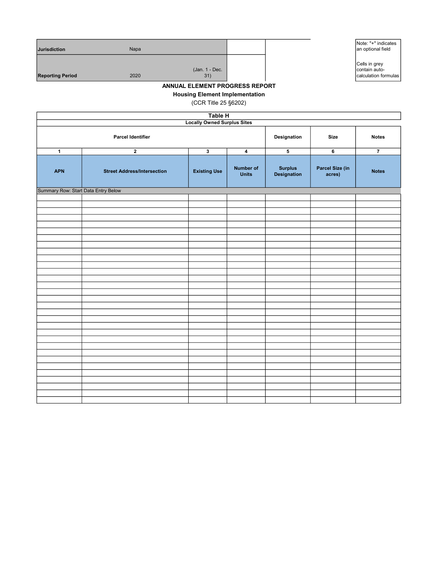| <b>Jurisdiction</b>     | Napa                          |  | Note: "+" indicates<br>an optional field               |
|-------------------------|-------------------------------|--|--------------------------------------------------------|
| <b>Reporting Period</b> | (Jan. 1 - Dec.<br>2020<br>31) |  | Cells in grey<br>contain auto-<br>calculation formulas |

Housing Element Implementation

| Table H                             |                                    |                         |                                  |                               |                           |                |
|-------------------------------------|------------------------------------|-------------------------|----------------------------------|-------------------------------|---------------------------|----------------|
| <b>Locally Owned Surplus Sites</b>  |                                    |                         |                                  |                               |                           |                |
|                                     | <b>Parcel Identifier</b>           | Designation             | <b>Size</b>                      | <b>Notes</b>                  |                           |                |
| $\mathbf{1}$                        | $\mathbf 2$                        | $\overline{\mathbf{3}}$ | $\overline{\mathbf{4}}$          | 5                             | 6                         | $\overline{7}$ |
| <b>APN</b>                          | <b>Street Address/Intersection</b> | <b>Existing Use</b>     | <b>Number of</b><br><b>Units</b> | <b>Surplus</b><br>Designation | Parcel Size (in<br>acres) | <b>Notes</b>   |
| Summary Row: Start Data Entry Below |                                    |                         |                                  |                               |                           |                |
|                                     |                                    |                         |                                  |                               |                           |                |
|                                     |                                    |                         |                                  |                               |                           |                |
|                                     |                                    |                         |                                  |                               |                           |                |
|                                     |                                    |                         |                                  |                               |                           |                |
|                                     |                                    |                         |                                  |                               |                           |                |
|                                     |                                    |                         |                                  |                               |                           |                |
|                                     |                                    |                         |                                  |                               |                           |                |
|                                     |                                    |                         |                                  |                               |                           |                |
|                                     |                                    |                         |                                  |                               |                           |                |
|                                     |                                    |                         |                                  |                               |                           |                |
|                                     |                                    |                         |                                  |                               |                           |                |
|                                     |                                    |                         |                                  |                               |                           |                |
|                                     |                                    |                         |                                  |                               |                           |                |
|                                     |                                    |                         |                                  |                               |                           |                |
|                                     |                                    |                         |                                  |                               |                           |                |
|                                     |                                    |                         |                                  |                               |                           |                |
|                                     |                                    |                         |                                  |                               |                           |                |
|                                     |                                    |                         |                                  |                               |                           |                |
|                                     |                                    |                         |                                  |                               |                           |                |
|                                     |                                    |                         |                                  |                               |                           |                |
|                                     |                                    |                         |                                  |                               |                           |                |
|                                     |                                    |                         |                                  |                               |                           |                |
|                                     |                                    |                         |                                  |                               |                           |                |
|                                     |                                    |                         |                                  |                               |                           |                |
|                                     |                                    |                         |                                  |                               |                           |                |
|                                     |                                    |                         |                                  |                               |                           |                |
|                                     |                                    |                         |                                  |                               |                           |                |
|                                     |                                    |                         |                                  |                               |                           |                |
|                                     |                                    |                         |                                  |                               |                           |                |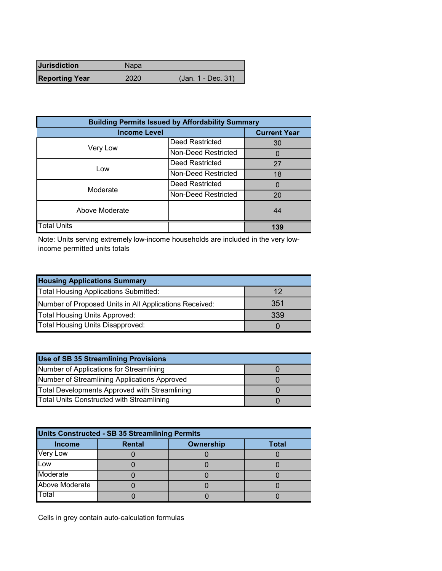| <b>Jurisdiction</b>   | Napa |                    |
|-----------------------|------|--------------------|
| <b>Reporting Year</b> | 2020 | (Jan. 1 - Dec. 31) |

| <b>Building Permits Issued by Affordability Summary</b> |                     |     |  |  |
|---------------------------------------------------------|---------------------|-----|--|--|
| <b>Income Level</b>                                     | <b>Current Year</b> |     |  |  |
| Very Low                                                | Deed Restricted     | 30  |  |  |
|                                                         | Non-Deed Restricted | 0   |  |  |
| Low                                                     | Deed Restricted     | 27  |  |  |
|                                                         | Non-Deed Restricted | 18  |  |  |
| Moderate                                                | Deed Restricted     | 0   |  |  |
|                                                         | Non-Deed Restricted | 20  |  |  |
| Above Moderate                                          |                     | 44  |  |  |
| <b>Total Units</b>                                      |                     | 139 |  |  |

Note: Units serving extremely low-income households are included in the very lowincome permitted units totals

| <b>Housing Applications Summary</b>                    |     |
|--------------------------------------------------------|-----|
| Total Housing Applications Submitted:                  | 12  |
| Number of Proposed Units in All Applications Received: | 351 |
| Total Housing Units Approved:                          | 339 |
| Total Housing Units Disapproved:                       |     |

| Use of SB 35 Streamlining Provisions             |  |
|--------------------------------------------------|--|
| Number of Applications for Streamlining          |  |
| Number of Streamlining Applications Approved     |  |
| Total Developments Approved with Streamlining    |  |
| <b>Total Units Constructed with Streamlining</b> |  |

| Units Constructed - SB 35 Streamlining Permits                     |  |  |  |  |  |  |  |  |
|--------------------------------------------------------------------|--|--|--|--|--|--|--|--|
| <b>Ownership</b><br><b>Rental</b><br><b>Total</b><br><b>Income</b> |  |  |  |  |  |  |  |  |
| <b>Very Low</b>                                                    |  |  |  |  |  |  |  |  |
| Low                                                                |  |  |  |  |  |  |  |  |
| Moderate                                                           |  |  |  |  |  |  |  |  |
| Above Moderate                                                     |  |  |  |  |  |  |  |  |
| Total                                                              |  |  |  |  |  |  |  |  |

Cells in grey contain auto-calculation formulas